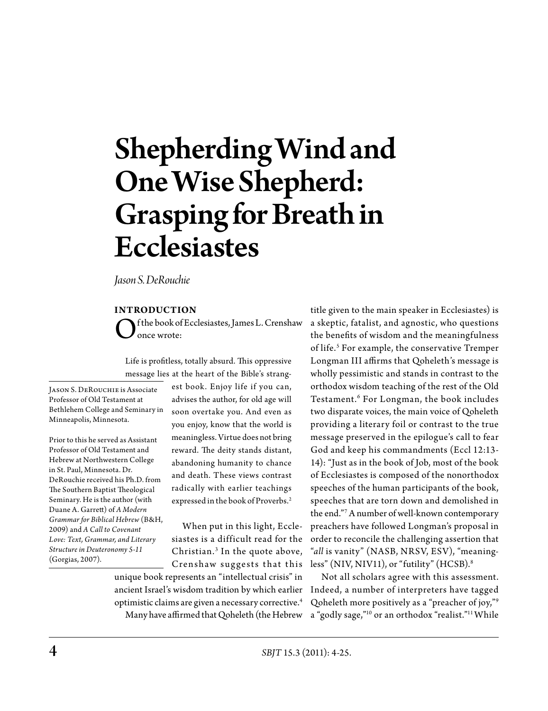# Shepherding Wind and One Wise Shepherd: Grasping for Breath in **Ecclesiastes**

*Jason S. DeRouchie*

## **Introduction**

f the book of Ecclesiastes, James L. Crenshaw once wrote:

Life is profitless, totally absurd. This oppressive message lies at the heart of the Bible's strang-

Jason S. DeRouchie is Associate Professor of Old Testament at Bethlehem College and Seminary in Minneapolis, Minnesota.

Prior to this he served as Assistant Professor of Old Testament and Hebrew at Northwestern College in St. Paul, Minnesota. Dr. DeRouchie received his Ph.D. from The Southern Baptist Theological Seminary. He is the author (with Duane A. Garrett) of *A Modern Grammar for Biblical Hebrew* (B&H, 2009) and *A Call to Covenant Love: Text, Grammar, and Literary Structure in Deuteronomy 5-11* (Gorgias, 2007).

est book. Enjoy life if you can, advises the author, for old age will soon overtake you. And even as you enjoy, know that the world is meaningless. Virtue does not bring reward. The deity stands distant, abandoning humanity to chance and death. These views contrast radically with earlier teachings expressed in the book of Proverbs.<sup>2</sup>

When put in this light, Ecclesiastes is a difficult read for the Christian.<sup>3</sup> In the quote above, Crenshaw suggests that this unique book represents an "intellectual crisis" in ancient Israel's wisdom tradition by which earlier optimistic claims are given a necessary corrective.4

Many have affirmed that Qoheleth (the Hebrew

title given to the main speaker in Ecclesiastes) is a skeptic, fatalist, and agnostic, who questions the benefits of wisdom and the meaningfulness of life.<sup>5</sup> For example, the conservative Tremper Longman III affirms that Qoheleth's message is wholly pessimistic and stands in contrast to the orthodox wisdom teaching of the rest of the Old Testament.6 For Longman, the book includes two disparate voices, the main voice of Qoheleth providing a literary foil or contrast to the true message preserved in the epilogue's call to fear God and keep his commandments (Eccl 12:13- 14): "Just as in the book of Job, most of the book of Ecclesiastes is composed of the nonorthodox speeches of the human participants of the book, speeches that are torn down and demolished in the end."7 A number of well-known contemporary preachers have followed Longman's proposal in order to reconcile the challenging assertion that "*all* is vanity" (NASB, NRSV, ESV), "meaningless" (NIV, NIV11), or "futility" (HCSB).<sup>8</sup>

Not all scholars agree with this assessment. Indeed, a number of interpreters have tagged Qoheleth more positively as a "preacher of joy,"9 a "godly sage,"10 or an orthodox "realist."11 While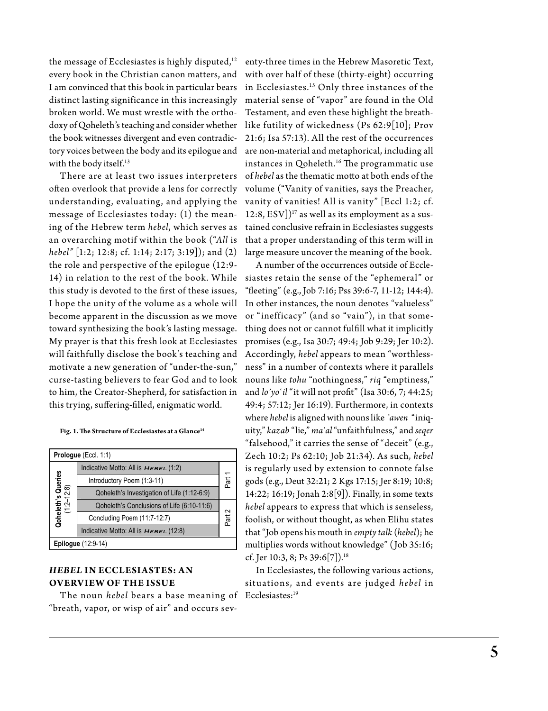the message of Ecclesiastes is highly disputed, $12$ every book in the Christian canon matters, and I am convinced that this book in particular bears distinct lasting significance in this increasingly broken world. We must wrestle with the orthodoxy of Qoheleth's teaching and consider whether the book witnesses divergent and even contradictory voices between the body and its epilogue and with the body itself.<sup>13</sup>

There are at least two issues interpreters often overlook that provide a lens for correctly understanding, evaluating, and applying the message of Ecclesiastes today: (1) the meaning of the Hebrew term *hebel*, which serves as an overarching motif within the book ("*All* is *hebel"* [1:2; 12:8; cf. 1:14; 2:17; 3:19]); and (2) the role and perspective of the epilogue (12:9- 14) in relation to the rest of the book. While this study is devoted to the first of these issues, I hope the unity of the volume as a whole will become apparent in the discussion as we move toward synthesizing the book's lasting message. My prayer is that this fresh look at Ecclesiastes will faithfully disclose the book's teaching and motivate a new generation of "under-the-sun," curse-tasting believers to fear God and to look to him, the Creator-Shepherd, for satisfaction in this trying, suffering-filled, enigmatic world.

#### **Fig. 1. The Structure of Ecclesiastes at a Glance14**

| Prologue (Eccl. 1:1)                     |                                             |                |  |
|------------------------------------------|---------------------------------------------|----------------|--|
| <b>Qoheleth's Queries<br/>(1:2–12:8)</b> | Indicative Motto: All is $HEBEL (1:2)$      |                |  |
|                                          | Introductory Poem (1:3-11)                  | Part           |  |
|                                          | Qoheleth's Investigation of Life (1:12-6:9) |                |  |
|                                          | Qoheleth's Conclusions of Life (6:10-11:6)  | $\sim$<br>Part |  |
|                                          | Concluding Poem (11:7-12:7)                 |                |  |
|                                          | Indicative Motto: All is $HEBEL (12:8)$     |                |  |
| <b>Epilogue</b> (12:9-14)                |                                             |                |  |

# *Hebel* **in Ecclesiastes: An Overview of the Issue**

The noun *hebel* bears a base meaning of Ecclesiastes:19 "breath, vapor, or wisp of air" and occurs sev-

enty-three times in the Hebrew Masoretic Text, with over half of these (thirty-eight) occurring in Ecclesiastes.15 Only three instances of the material sense of "vapor" are found in the Old Testament, and even these highlight the breathlike futility of wickedness (Ps 62:9[10]; Prov 21:6; Isa 57:13). All the rest of the occurrences are non-material and metaphorical, including all instances in Qoheleth.<sup>16</sup> The programmatic use of *hebel* as the thematic motto at both ends of the volume ("Vanity of vanities, says the Preacher, vanity of vanities! All is vanity" [Eccl 1:2; cf. 12:8,  $ESV$ ]<sup>17</sup> as well as its employment as a sustained conclusive refrain in Ecclesiastes suggests that a proper understanding of this term will in large measure uncover the meaning of the book.

A number of the occurrences outside of Ecclesiastes retain the sense of the "ephemeral" or "fleeting" (e.g., Job 7:16; Pss 39:6-7, 11-12; 144:4). In other instances, the noun denotes "valueless" or "inefficacy" (and so "vain"), in that something does not or cannot fulfill what it implicitly promises (e.g., Isa 30:7; 49:4; Job 9:29; Jer 10:2). Accordingly, *hebel* appears to mean "worthlessness" in a number of contexts where it parallels nouns like *tohu* "nothingness," *riq* "emptiness," and *lo᾽yo῾il* "it will not profit" (Isa 30:6, 7; 44:25; 49:4; 57:12; Jer 16:19). Furthermore, in contexts where *hebel* is aligned with nouns like *᾽awen* "iniquity," *kazab* "lie," *ma῾al* "unfaithfulness," and *seqer*  "falsehood," it carries the sense of "deceit" (e.g., Zech 10:2; Ps 62:10; Job 21:34). As such, *hebel* is regularly used by extension to connote false gods (e.g., Deut 32:21; 2 Kgs 17:15; Jer 8:19; 10:8; 14:22; 16:19; Jonah 2:8[9]). Finally, in some texts *hebel* appears to express that which is senseless, foolish, or without thought, as when Elihu states that "Job opens his mouth in *empty talk* (*hebel*); he multiplies words without knowledge" (Job 35:16; cf. Jer 10:3, 8; Ps 39:6[7]).18

In Ecclesiastes, the following various actions, situations, and events are judged *hebel* in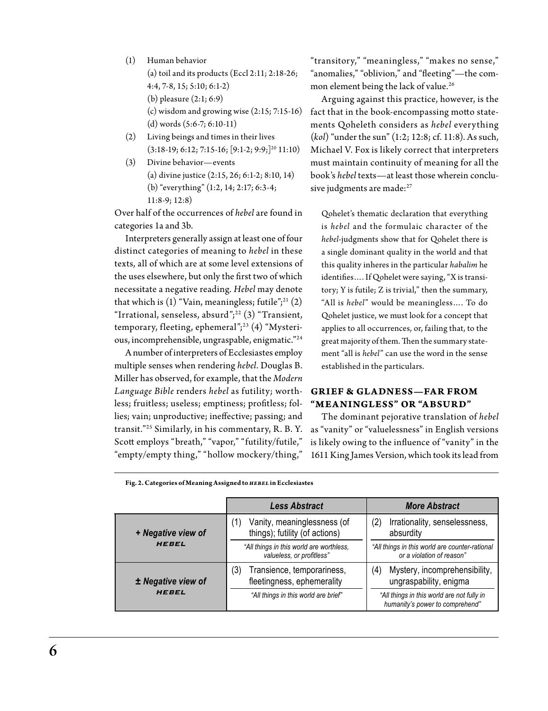(1) Human behavior

(a) toil and its products (Eccl 2:11;  $2:18-26$ ; 4:4, 7-8, 15; 5:10; 6:1-2) (b) pleasure (2:1; 6:9)

- (c) wisdom and growing wise (2:15; 7:15-16) (d) words (5:6-7; 6:10-11)
- (2) Living beings and times in their lives  $(3:18-19; 6:12; 7:15-16; [9:1-2; 9:9;]^{20} 11:10)$
- (3) Divine behavior—events (a) divine justice (2:15, 26; 6:1-2; 8:10, 14) (b) "everything" (1:2, 14; 2:17; 6:3-4; 11:8-9; 12:8)

Over half of the occurrences of *hebel* are found in categories 1a and 3b.

Interpreters generally assign at least one of four distinct categories of meaning to *hebel* in these texts, all of which are at some level extensions of the uses elsewhere, but only the first two of which necessitate a negative reading. *Hebel* may denote that which is  $(1)$  "Vain, meaningless; futile";<sup>21</sup> $(2)$ "Irrational, senseless, absurd"; $22$  (3) "Transient, temporary, fleeting, ephemeral";<sup>23</sup> (4) "Mysterious, incomprehensible, ungraspable, enigmatic."24

A number of interpreters of Ecclesiastes employ multiple senses when rendering *hebel*. Douglas B. Miller has observed, for example, that the *Modern Language Bible* renders *hebel* as futility; worthless; fruitless; useless; emptiness; profitless; follies; vain; unproductive; ineffective; passing; and transit."25 Similarly, in his commentary, R. B. Y. Scott employs "breath," "vapor," "futility/futile," "empty/empty thing," "hollow mockery/thing,"

"transitory," "meaningless," "makes no sense," "anomalies," "oblivion," and "fleeting"—the common element being the lack of value.<sup>26</sup>

Arguing against this practice, however, is the fact that in the book-encompassing motto statements Qoheleth considers as *hebel* everything (*kol*) "under the sun" (1:2; 12:8; cf. 11:8). As such, Michael V. Fox is likely correct that interpreters must maintain continuity of meaning for all the book's *hebel* texts—at least those wherein conclusive judgments are made:<sup>27</sup>

Qohelet's thematic declaration that everything is *hebel* and the formulaic character of the *hebel-*judgments show that for Qohelet there is a single dominant quality in the world and that this quality inheres in the particular *habalim* he identifies…. If Qohelet were saying, "X is transitory; Y is futile; Z is trivial," then the summary, "All is *hebel*" would be meaningless…. To do Qohelet justice, we must look for a concept that applies to all occurrences, or, failing that, to the great majority of them. Then the summary statement "all is *hebel*" can use the word in the sense established in the particulars.

# **Grief & Gladness—Far from**  "MEANINGLESS" OR "ABSURD"

The dominant pejorative translation of *hebel* as "vanity" or "valuelessness" in English versions is likely owing to the influence of "vanity" in the 1611 King James Version, which took its lead from

**Fig. 2. Categories of Meaning Assigned to** *hebel* **in Ecclesiastes**

|                    | <b>Less Abstract</b>                                                  | <b>More Abstract</b>                                                          |
|--------------------|-----------------------------------------------------------------------|-------------------------------------------------------------------------------|
| + Negative view of | Vanity, meaninglessness (of<br>(1)<br>things); futility (of actions)  | Irrationality, senselessness,<br>(2)<br>absurdity                             |
| <b>HEBEL</b>       | "All things in this world are worthless,<br>valueless, or profitless" | "All things in this world are counter-rational<br>or a violation of reason"   |
| ± Negative view of | Transience, temporariness,<br>(3)<br>fleetingness, ephemerality       | Mystery, incomprehensibility,<br>(4)<br>ungraspability, enigma                |
| <b>HEBEL</b>       | "All things in this world are brief"                                  | "All things in this world are not fully in<br>humanity's power to comprehend" |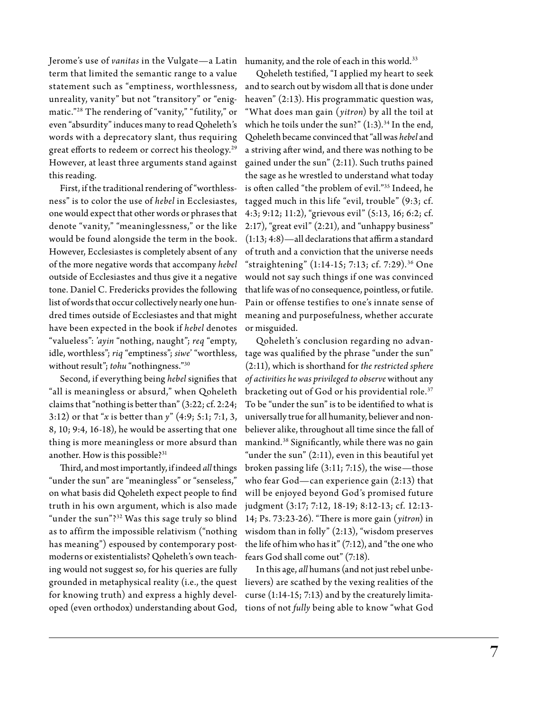Jerome's use of *vanitas* in the Vulgate—a Latin humanity, and the role of each in this world.33 term that limited the semantic range to a value statement such as "emptiness, worthlessness, unreality, vanity" but not "transitory" or "enigmatic."28 The rendering of "vanity," "futility," or even "absurdity" induces many to read Qoheleth's words with a deprecatory slant, thus requiring great efforts to redeem or correct his theology.<sup>29</sup> However, at least three arguments stand against this reading.

First, if the traditional rendering of "worthlessness" is to color the use of *hebel* in Ecclesiastes, one would expect that other words or phrases that denote "vanity," "meaninglessness," or the like would be found alongside the term in the book. However, Ecclesiastes is completely absent of any of the more negative words that accompany *hebel* outside of Ecclesiastes and thus give it a negative tone. Daniel C. Fredericks provides the following list of words that occur collectively nearly one hundred times outside of Ecclesiastes and that might have been expected in the book if *hebel* denotes "valueless": '*ayin* "nothing, naught"; *req* "empty, idle, worthless"; *riq* "emptiness"; *siwe*' "worthless, without result"; *tohu* "nothingness."30

Second, if everything being *hebel* signifies that "all is meaningless or absurd," when Qoheleth claims that "nothing is better than" (3:22; cf. 2:24; 3:12) or that "*x* is better than *y*" (4:9; 5:1; 7:1, 3, 8, 10; 9:4, 16-18), he would be asserting that one thing is more meaningless or more absurd than another. How is this possible?<sup>31</sup>

Third, and most importantly, if indeed *all* things "under the sun" are "meaningless" or "senseless," on what basis did Qoheleth expect people to find truth in his own argument, which is also made "under the sun"?<sup>32</sup> Was this sage truly so blind as to affirm the impossible relativism ("nothing has meaning") espoused by contemporary postmoderns or existentialists? Qoheleth's own teaching would not suggest so, for his queries are fully grounded in metaphysical reality (i.e., the quest lievers) are scathed by the vexing realities of the for knowing truth) and express a highly developed (even orthodox) understanding about God,

Qoheleth testified, "I applied my heart to seek and to search out by wisdom all that is done under heaven" (2:13). His programmatic question was, "What does man gain (*yitron*) by all the toil at which he toils under the sun?"  $(1:3).<sup>34</sup>$  In the end, Qoheleth became convinced that "all was *hebel* and a striving after wind, and there was nothing to be gained under the sun" (2:11). Such truths pained the sage as he wrestled to understand what today is often called "the problem of evil."35 Indeed, he tagged much in this life "evil, trouble" (9:3; cf. 4:3; 9:12; 11:2), "grievous evil" (5:13, 16; 6:2; cf. 2:17), "great evil" (2:21), and "unhappy business" (1:13; 4:8)—all declarations that affirm a standard of truth and a conviction that the universe needs "straightening" (1:14-15; 7:13; cf. 7:29).36 One would not say such things if one was convinced that life was of no consequence, pointless, or futile. Pain or offense testifies to one's innate sense of meaning and purposefulness, whether accurate or misguided.

Qoheleth's conclusion regarding no advantage was qualified by the phrase "under the sun" (2:11), which is shorthand for *the restricted sphere of activities he was privileged to observe* without any bracketing out of God or his providential role.<sup>37</sup> To be "under the sun" is to be identified to what is universally true for all humanity, believer and nonbeliever alike, throughout all time since the fall of mankind.38 Significantly, while there was no gain "under the sun"  $(2:11)$ , even in this beautiful yet broken passing life (3:11; 7:15), the wise—those who fear God—can experience gain (2:13) that will be enjoyed beyond God's promised future judgment (3:17; 7:12, 18-19; 8:12-13; cf. 12:13- 14; Ps. 73:23-26). "There is more gain (*yitron*) in wisdom than in folly" (2:13), "wisdom preserves the life of him who has it" (7:12), and "the one who fears God shall come out" (7:18).

In this age, *all* humans (and not just rebel unbecurse (1:14-15; 7:13) and by the creaturely limitations of not *fully* being able to know "what God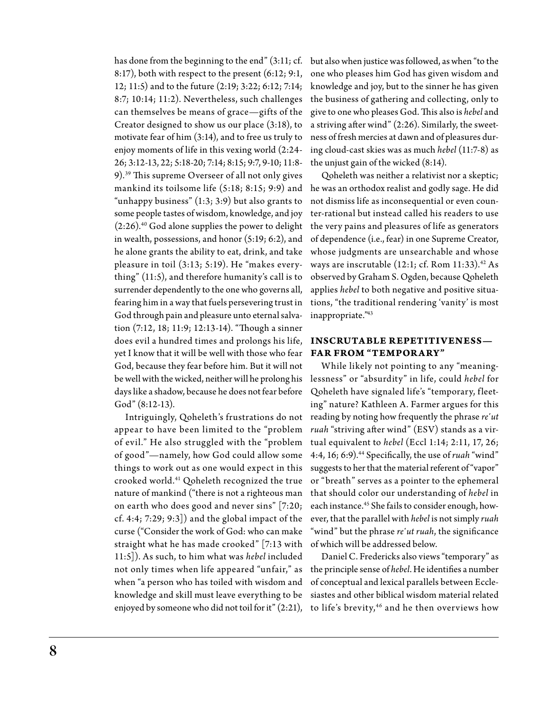has done from the beginning to the end" (3:11; cf. 8:17), both with respect to the present (6:12; 9:1, 12; 11:5) and to the future (2:19; 3:22; 6:12; 7:14; 8:7; 10:14; 11:2). Nevertheless, such challenges can themselves be means of grace—gifts of the Creator designed to show us our place (3:18), to motivate fear of him (3:14), and to free us truly to enjoy moments of life in this vexing world (2:24- 26; 3:12-13, 22; 5:18-20; 7:14; 8:15; 9:7, 9-10; 11:8- 9).39 This supreme Overseer of all not only gives mankind its toilsome life (5:18; 8:15; 9:9) and he was an orthodox realist and godly sage. He did "unhappy business"  $(1:3; 3:9)$  but also grants to some people tastes of wisdom, knowledge, and joy  $(2:26)$ .<sup>40</sup> God alone supplies the power to delight in wealth, possessions, and honor (5:19; 6:2), and he alone grants the ability to eat, drink, and take pleasure in toil (3:13; 5:19). He "makes everything" (11:5), and therefore humanity's call is to surrender dependently to the one who governs all, fearing him in a way that fuels persevering trust in God through pain and pleasure unto eternal salvation (7:12, 18; 11:9; 12:13-14). "Though a sinner does evil a hundred times and prolongs his life, yet I know that it will be well with those who fear God, because they fear before him. But it will not be well with the wicked, neither will he prolong his days like a shadow, because he does not fear before God" (8:12-13).

Intriguingly, Qoheleth's frustrations do not appear to have been limited to the "problem of evil." He also struggled with the "problem of good"—namely, how God could allow some things to work out as one would expect in this crooked world.41 Qoheleth recognized the true nature of mankind ("there is not a righteous man on earth who does good and never sins" [7:20; cf. 4:4; 7:29; 9:3]) and the global impact of the curse ("Consider the work of God: who can make straight what he has made crooked" [7:13 with 11:5]). As such, to him what was *hebel* included not only times when life appeared "unfair," as when "a person who has toiled with wisdom and knowledge and skill must leave everything to be enjoyed by someone who did not toil for it" (2:21),

but also when justice was followed, as when "to the one who pleases him God has given wisdom and knowledge and joy, but to the sinner he has given the business of gathering and collecting, only to give to one who pleases God. This also is *hebel* and a striving after wind" (2:26). Similarly, the sweetness of fresh mercies at dawn and of pleasures during cloud-cast skies was as much *hebel* (11:7-8) as the unjust gain of the wicked (8:14).

Qoheleth was neither a relativist nor a skeptic; not dismiss life as inconsequential or even counter-rational but instead called his readers to use the very pains and pleasures of life as generators of dependence (i.e., fear) in one Supreme Creator, whose judgments are unsearchable and whose ways are inscrutable  $(12:1; cf. Rom 11:33).<sup>42</sup> As$ observed by Graham S. Ogden, because Qoheleth applies *hebel* to both negative and positive situations, "the traditional rendering 'vanity' is most inappropriate."43

# **Inscrutable Repetitiveness— Far from "Temporary"**

While likely not pointing to any "meaninglessness" or "absurdity" in life, could *hebel* for Qoheleth have signaled life's "temporary, fleeting" nature? Kathleen A. Farmer argues for this reading by noting how frequently the phrase *re'ut ruah* "striving after wind" (ESV) stands as a virtual equivalent to *hebel* (Eccl 1:14; 2:11, 17, 26; 4:4, 16; 6:9).44 Specifically, the use of *ruah* "wind" suggests to her that the material referent of "vapor" or "breath" serves as a pointer to the ephemeral that should color our understanding of *hebel* in each instance.<sup>45</sup> She fails to consider enough, however, that the parallel with *hebel* is not simply *ruah*  "wind" but the phrase *re*'ut ruah, the significance of which will be addressed below.

Daniel C. Fredericks also views "temporary" as the principle sense of *hebel*. He identifies a number of conceptual and lexical parallels between Ecclesiastes and other biblical wisdom material related to life's brevity,<sup>46</sup> and he then overviews how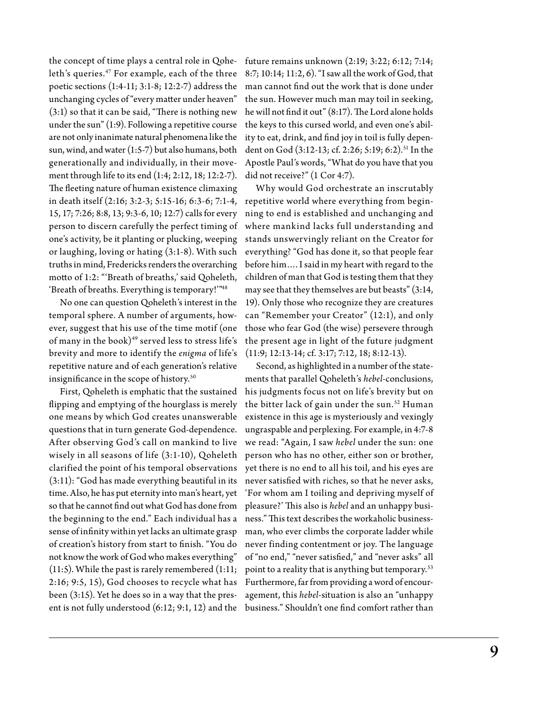the concept of time plays a central role in Qoheleth's queries.<sup>47</sup> For example, each of the three poetic sections (1:4-11; 3:1-8; 12:2-7) address the unchanging cycles of "every matter under heaven" (3:1) so that it can be said, "There is nothing new under the sun" (1:9). Following a repetitive course are not only inanimate natural phenomena like the sun, wind, and water (1:5-7) but also humans, both generationally and individually, in their movement through life to its end (1:4; 2:12, 18; 12:2-7). The fleeting nature of human existence climaxing in death itself (2:16; 3:2-3; 5:15-16; 6:3-6; 7:1-4, 15, 17; 7:26; 8:8, 13; 9:3-6, 10; 12:7) calls for every person to discern carefully the perfect timing of one's activity, be it planting or plucking, weeping or laughing, loving or hating (3:1-8). With such truths in mind, Fredericks renders the overarching motto of 1:2: "'Breath of breaths,' said Qoheleth, 'Breath of breaths. Everything is temporary!'"48

No one can question Qoheleth's interest in the temporal sphere. A number of arguments, however, suggest that his use of the time motif (one of many in the book) $49$  served less to stress life's brevity and more to identify the *enigma* of life's repetitive nature and of each generation's relative insignificance in the scope of history.<sup>50</sup>

flipping and emptying of the hourglass is merely one means by which God creates unanswerable questions that in turn generate God-dependence. After observing God's call on mankind to live wisely in all seasons of life (3:1-10), Qoheleth clarified the point of his temporal observations (3:11): "God has made everything beautiful in its time. Also, he has put eternity into man's heart, yet so that he cannot find out what God has done from the beginning to the end." Each individual has a sense of infinity within yet lacks an ultimate grasp of creation's history from start to finish. "You do not know the work of God who makes everything" (11:5). While the past is rarely remembered (1:11; 2:16; 9:5, 15), God chooses to recycle what has been (3:15). Yet he does so in a way that the present is not fully understood (6:12; 9:1, 12) and the

future remains unknown (2:19; 3:22; 6:12; 7:14; 8:7; 10:14; 11:2, 6). "I saw all the work of God, that man cannot find out the work that is done under the sun. However much man may toil in seeking, he will not find it out" (8:17). The Lord alone holds the keys to this cursed world, and even one's ability to eat, drink, and find joy in toil is fully dependent on God (3:12-13; cf. 2:26; 5:19; 6:2).<sup>51</sup> In the Apostle Paul's words, "What do you have that you did not receive?" (1 Cor 4:7).

Why would God orchestrate an inscrutably repetitive world where everything from beginning to end is established and unchanging and where mankind lacks full understanding and stands unswervingly reliant on the Creator for everything? "God has done it, so that people fear before him…. I said in my heart with regard to the children of man that God is testing them that they may see that they themselves are but beasts" (3:14, 19). Only those who recognize they are creatures can "Remember your Creator" (12:1), and only those who fear God (the wise) persevere through the present age in light of the future judgment (11:9; 12:13-14; cf. 3:17; 7:12, 18; 8:12-13).

First, Qoheleth is emphatic that the sustained his judgments focus not on life's brevity but on Second, as highlighted in a number of the statements that parallel Qoheleth's *hebel*-conclusions, the bitter lack of gain under the sun.<sup>52</sup> Human existence in this age is mysteriously and vexingly ungraspable and perplexing. For example, in 4:7-8 we read: "Again, I saw *hebel* under the sun: one person who has no other, either son or brother, yet there is no end to all his toil, and his eyes are never satisfied with riches, so that he never asks, 'For whom am I toiling and depriving myself of pleasure?' This also is *hebel* and an unhappy business." This text describes the workaholic businessman, who ever climbs the corporate ladder while never finding contentment or joy. The language of "no end," "never satisfied," and "never asks" all point to a reality that is anything but temporary.<sup>53</sup> Furthermore, far from providing a word of encouragement, this *hebel*-situation is also an "unhappy business." Shouldn't one find comfort rather than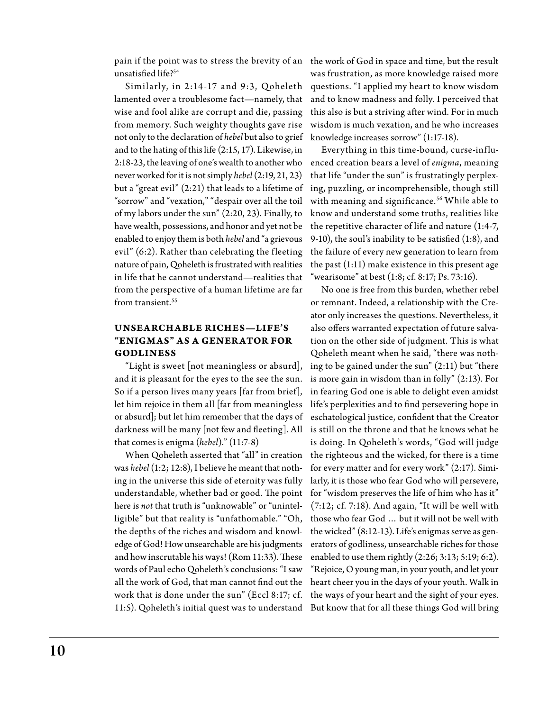pain if the point was to stress the brevity of an  $\;$  the work of God in space and time, but the result unsatisfied life?<sup>54</sup>

Similarly, in  $2:14-17$  and  $9:3$ , Qoheleth lamented over a troublesome fact—namely, that wise and fool alike are corrupt and die, passing from memory. Such weighty thoughts gave rise not only to the declaration of *hebel* but also to grief and to the hating of this life (2:15, 17). Likewise, in 2:18-23, the leaving of one's wealth to another who never worked for it is not simply *hebel* (2:19, 21, 23) but a "great evil" (2:21) that leads to a lifetime of "sorrow" and "vexation," "despair over all the toil of my labors under the sun" (2:20, 23). Finally, to have wealth, possessions, and honor and yet not be enabled to enjoy them is both *hebel* and "a grievous evil"  $(6:2)$ . Rather than celebrating the fleeting nature of pain, Qoheleth is frustrated with realities in life that he cannot understand—realities that from the perspective of a human lifetime are far from transient.<sup>55</sup>

# **Unsearchable Riches—Life's "Enigmas" as a Gener ator for Godliness**

"Light is sweet [not meaningless or absurd], and it is pleasant for the eyes to the see the sun. So if a person lives many years [far from brief], let him rejoice in them all [far from meaningless or absurd]; but let him remember that the days of darkness will be many [not few and fleeting]. All that comes is enigma (*hebel*)." (11:7-8)

When Qoheleth asserted that "all" in creation was *hebel* (1:2; 12:8), I believe he meant that nothing in the universe this side of eternity was fully understandable, whether bad or good. The point here is *not* that truth is "unknowable" or "unintelligible" but that reality is "unfathomable." "Oh, the depths of the riches and wisdom and knowledge of God! How unsearchable are his judgments and how inscrutable his ways! (Rom 11:33). These words of Paul echo Qoheleth's conclusions: "I saw all the work of God, that man cannot find out the 11:5). Qoheleth's initial quest was to understand But know that for all these things God will bring

was frustration, as more knowledge raised more questions. "I applied my heart to know wisdom and to know madness and folly. I perceived that this also is but a striving after wind. For in much wisdom is much vexation, and he who increases knowledge increases sorrow" (1:17-18).

Everything in this time-bound, curse-influenced creation bears a level of *enigma*, meaning that life "under the sun" is frustratingly perplexing, puzzling, or incomprehensible, though still with meaning and significance.<sup>56</sup> While able to know and understand some truths, realities like the repetitive character of life and nature (1:4-7, 9-10), the soul's inability to be satisfied (1:8), and the failure of every new generation to learn from the past (1:11) make existence in this present age "wearisome" at best  $(1:8; cf. 8:17; Ps. 73:16)$ .

work that is done under the sun" (Eccl 8:17; cf. the ways of your heart and the sight of your eyes. No one is free from this burden, whether rebel or remnant. Indeed, a relationship with the Creator only increases the questions. Nevertheless, it also offers warranted expectation of future salvation on the other side of judgment. This is what Qoheleth meant when he said, "there was nothing to be gained under the sun" (2:11) but "there is more gain in wisdom than in folly" (2:13). For in fearing God one is able to delight even amidst life's perplexities and to find persevering hope in eschatological justice, confident that the Creator is still on the throne and that he knows what he is doing. In Qoheleth's words, "God will judge the righteous and the wicked, for there is a time for every matter and for every work" (2:17). Similarly, it is those who fear God who will persevere, for "wisdom preserves the life of him who has it" (7:12; cf. 7:18). And again, "It will be well with those who fear God … but it will not be well with the wicked" (8:12-13). Life's enigmas serve as generators of godliness, unsearchable riches for those enabled to use them rightly (2:26; 3:13; 5:19; 6:2). "Rejoice, O young man, in your youth, and let your heart cheer you in the days of your youth. Walk in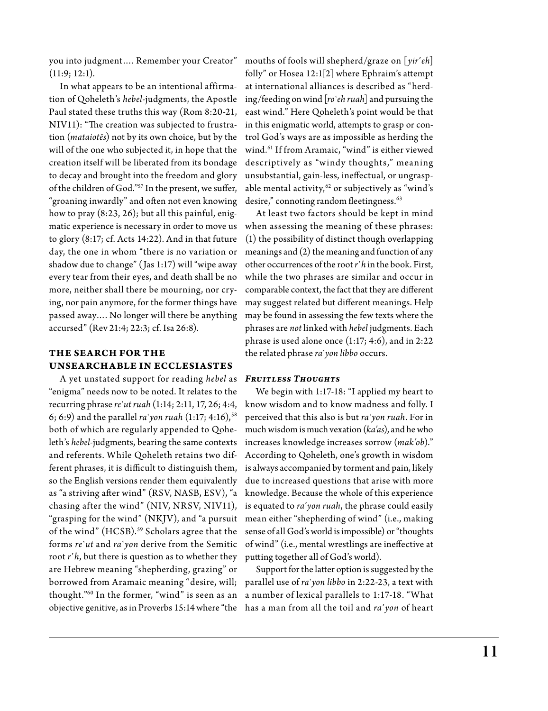you into judgment…. Remember your Creator"  $(11:9; 12:1).$ 

In what appears to be an intentional affirmation of Qoheleth's *hebel*-judgments, the Apostle Paul stated these truths this way (Rom 8:20-21, NIV11): "The creation was subjected to frustration (*mataiotēs*) not by its own choice, but by the will of the one who subjected it, in hope that the creation itself will be liberated from its bondage to decay and brought into the freedom and glory of the children of God."57 In the present, we suffer, "groaning inwardly" and often not even knowing how to pray (8:23, 26); but all this painful, enigmatic experience is necessary in order to move us to glory (8:17; cf. Acts 14:22). And in that future day, the one in whom "there is no variation or shadow due to change" (Jas 1:17) will "wipe away every tear from their eyes, and death shall be no more, neither shall there be mourning, nor crying, nor pain anymore, for the former things have passed away…. No longer will there be anything accursed" (Rev 21:4; 22:3; cf. Isa 26:8).

# **The Search for the Unsearchable in Ecclesiastes**

A yet unstated support for reading *hebel* as "enigma" needs now to be noted. It relates to the recurring phrase *re῾ut ruah* (1:14; 2:11, 17, 26; 4:4, 6; 6:9) and the parallel *ra῾yon ruah* (1:17; 4:16),58 both of which are regularly appended to Qoheleth's *hebel*-judgments, bearing the same contexts and referents. While Qoheleth retains two different phrases, it is difficult to distinguish them, so the English versions render them equivalently as "a striving after wind" (RSV, NASB, ESV), "a chasing after the wind" (NIV, NRSV, NIV11), "grasping for the wind" (NKJV), and "a pursuit of the wind" (HCSB).<sup>59</sup> Scholars agree that the forms *re῾ut* and *ra῾yon* derive from the Semitic root *r*<sup>'</sup>*h*, but there is question as to whether they are Hebrew meaning "shepherding, grazing" or borrowed from Aramaic meaning "desire, will; parallel use of *ra῾yon libbo* in 2:22-23, a text with thought."60 In the former, "wind" is seen as an a number of lexical parallels to 1:17-18. "What

mouths of fools will shepherd/graze on [*yir῾eh*] folly" or Hosea 12:1[2] where Ephraim's attempt at international alliances is described as "herding/feeding on wind [*ro῾eh ruah*] and pursuing the east wind." Here Qoheleth's point would be that in this enigmatic world, attempts to grasp or control God's ways are as impossible as herding the wind.61 If from Aramaic, "wind" is either viewed descriptively as "windy thoughts," meaning unsubstantial, gain-less, ineffectual, or ungraspable mental activity, $62$  or subjectively as "wind's desire," connoting random fleetingness.<sup>63</sup>

At least two factors should be kept in mind when assessing the meaning of these phrases: (1) the possibility of distinct though overlapping meanings and (2) the meaning and function of any other occurrences of the root *r῾h* in the book. First, while the two phrases are similar and occur in comparable context, the fact that they are different may suggest related but different meanings. Help may be found in assessing the few texts where the phrases are *not* linked with *hebel* judgments. Each phrase is used alone once (1:17; 4:6), and in 2:22 the related phrase *ra῾yon libbo* occurs.

#### *Fruitless Thoughts*

We begin with 1:17-18: "I applied my heart to know wisdom and to know madness and folly. I perceived that this also is but *ra῾yon ruah*. For in much wisdom is much vexation (*ka'as*), and he who increases knowledge increases sorrow (*mak'ob*)." According to Qoheleth, one's growth in wisdom is always accompanied by torment and pain, likely due to increased questions that arise with more knowledge. Because the whole of this experience is equated to *ra῾yon ruah*, the phrase could easily mean either "shepherding of wind" (i.e., making sense of all God's world is impossible) or "thoughts of wind" (i.e., mental wrestlings are ineffective at putting together all of God's world).

objective genitive, as in Proverbs 15:14 where "the has a man from all the toil and *ra῾yon* of heart Support for the latter option is suggested by the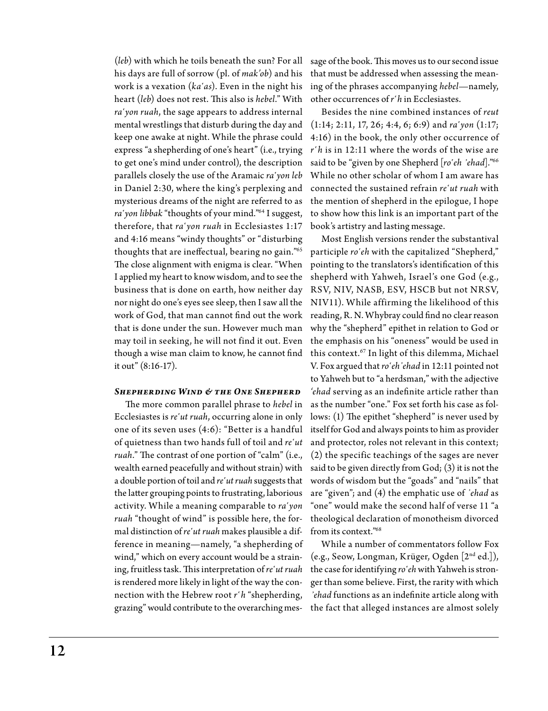(*leb*) with which he toils beneath the sun? For all his days are full of sorrow (pl. of *mak'ob*) and his work is a vexation (*ka῾as*). Even in the night his heart (*leb*) does not rest. This also is *hebel*." With *ra῾yon ruah*, the sage appears to address internal mental wrestlings that disturb during the day and keep one awake at night. While the phrase could express "a shepherding of one's heart" (i.e., trying to get one's mind under control), the description parallels closely the use of the Aramaic *ra῾yon leb* in Daniel 2:30, where the king's perplexing and mysterious dreams of the night are referred to as *ra῾yon libbak* "thoughts of your mind."64 I suggest, therefore, that *ra῾yon ruah* in Ecclesiastes 1:17 and 4:16 means "windy thoughts" or "disturbing thoughts that are ineffectual, bearing no gain."65 The close alignment with enigma is clear. "When I applied my heart to know wisdom, and to see the business that is done on earth, how neither day nor night do one's eyes see sleep, then I saw all the work of God, that man cannot find out the work that is done under the sun. However much man may toil in seeking, he will not find it out. Even though a wise man claim to know, he cannot find it out" (8:16-17).

## *Shepherding Wind & the One Shepherd*

The more common parallel phrase to *hebel* in Ecclesiastes is *re῾ut ruah*, occurring alone in only one of its seven uses (4:6): "Better is a handful of quietness than two hands full of toil and *re῾ut ruah*." The contrast of one portion of "calm" (i.e., wealth earned peacefully and without strain) with a double portion of toil and *re'ut ruah* suggests that the latter grouping points to frustrating, laborious activity. While a meaning comparable to *ra῾yon ruah* "thought of wind" is possible here, the formal distinction of *re*<sup>t</sup>ut ruah makes plausible a difference in meaning—namely, "a shepherding of wind," which on every account would be a straining, fruitless task. This interpretation of *re'ut ruah* is rendered more likely in light of the way the connection with the Hebrew root *r῾h* "shepherding, grazing" would contribute to the overarching mes-

sage of the book. This moves us to our second issue that must be addressed when assessing the meaning of the phrases accompanying *hebel*—namely, other occurrences of *r῾h* in Ecclesiastes.

Besides the nine combined instances of *reut*  (1:14; 2:11, 17, 26; 4:4, 6; 6:9) and *ra῾yon* (1:17; 4:16) in the book, the only other occurrence of *r῾h* is in 12:11 where the words of the wise are said to be "given by one Shepherd [ro'eh 'ehad]."<sup>66</sup> While no other scholar of whom I am aware has connected the sustained refrain *re῾ut ruah* with the mention of shepherd in the epilogue, I hope to show how this link is an important part of the book's artistry and lasting message.

Most English versions render the substantival participle ro'eh with the capitalized "Shepherd," pointing to the translators's identification of this shepherd with Yahweh, Israel's one God (e.g., RSV, NIV, NASB, ESV, HSCB but not NRSV, NIV11). While affirming the likelihood of this reading, R. N. Whybray could find no clear reason why the "shepherd" epithet in relation to God or the emphasis on his "oneness" would be used in this context.67 In light of this dilemma, Michael V. Fox argued that *ro῾eh᾿ehad* in 12:11 pointed not to Yahweh but to "a herdsman," with the adjective *'ehad* serving as an indefinite article rather than as the number "one." Fox set forth his case as follows: (1) The epithet "shepherd" is never used by itself for God and always points to him as provider and protector, roles not relevant in this context; (2) the specific teachings of the sages are never said to be given directly from God; (3) it is not the words of wisdom but the "goads" and "nails" that are "given"; and (4) the emphatic use of *᾿ehad* as "one" would make the second half of verse 11 "a theological declaration of monotheism divorced from its context."68

While a number of commentators follow Fox (e.g., Seow, Longman, Krüger, Ogden [2nd ed.]), the case for identifying ro'eh with Yahweh is stronger than some believe. First, the rarity with which *᾽ehad* functions as an indefinite article along with the fact that alleged instances are almost solely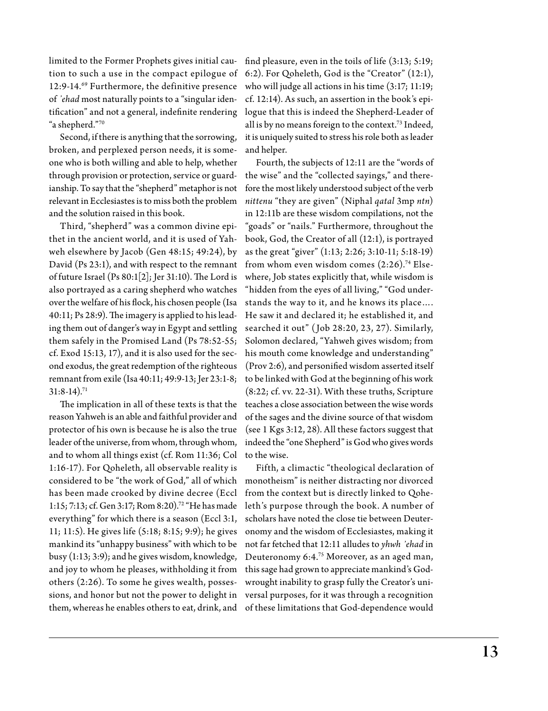limited to the Former Prophets gives initial caution to such a use in the compact epilogue of 12:9-14.69 Furthermore, the definitive presence of *᾿ehad* most naturally points to a "singular identification" and not a general, indefinite rendering "a shepherd."70

Second, if there is anything that the sorrowing, broken, and perplexed person needs, it is someone who is both willing and able to help, whether through provision or protection, service or guardianship. To say that the "shepherd" metaphor is not relevant in Ecclesiastes is to miss both the problem and the solution raised in this book.

Third, "shepherd" was a common divine epithet in the ancient world, and it is used of Yahweh elsewhere by Jacob (Gen 48:15; 49:24), by David (Ps 23:1), and with respect to the remnant of future Israel (Ps 80:1[2]; Jer 31:10). The Lord is also portrayed as a caring shepherd who watches over the welfare of his flock, his chosen people (Isa 40:11; Ps 28:9). The imagery is applied to his leading them out of danger's way in Egypt and settling them safely in the Promised Land (Ps 78:52-55; cf. Exod 15:13, 17), and it is also used for the second exodus, the great redemption of the righteous remnant from exile (Isa 40:11; 49:9-13; Jer 23:1-8;  $31:8-14$ ).<sup>71</sup>

The implication in all of these texts is that the reason Yahweh is an able and faithful provider and protector of his own is because he is also the true leader of the universe, from whom, through whom, and to whom all things exist (cf. Rom 11:36; Col 1:16-17). For Qoheleth, all observable reality is considered to be "the work of God," all of which has been made crooked by divine decree (Eccl 1:15; 7:13; cf. Gen 3:17; Rom 8:20).72 "He has made everything" for which there is a season (Eccl 3:1, 11; 11:5). He gives life (5:18; 8:15; 9:9); he gives mankind its "unhappy business" with which to be busy (1:13; 3:9); and he gives wisdom, knowledge, and joy to whom he pleases, withholding it from others (2:26). To some he gives wealth, possessions, and honor but not the power to delight in them, whereas he enables others to eat, drink, and

find pleasure, even in the toils of life (3:13; 5:19; 6:2). For Qoheleth, God is the "Creator" (12:1), who will judge all actions in his time (3:17; 11:19; cf. 12:14). As such, an assertion in the book's epilogue that this is indeed the Shepherd-Leader of all is by no means foreign to the context.73 Indeed, it is uniquely suited to stress his role both as leader and helper.

Fourth, the subjects of 12:11 are the "words of the wise" and the "collected sayings," and therefore the most likely understood subject of the verb *nittenu* "they are given" (Niphal *qatal* 3mp *ntn*) in 12:11b are these wisdom compilations, not the "goads" or "nails." Furthermore, throughout the book, God, the Creator of all (12:1), is portrayed as the great "giver" (1:13; 2:26; 3:10-11; 5:18-19) from whom even wisdom comes  $(2:26).<sup>74</sup>$  Elsewhere, Job states explicitly that, while wisdom is "hidden from the eyes of all living," "God understands the way to it, and he knows its place…. He saw it and declared it; he established it, and searched it out" ( Job 28:20, 23, 27). Similarly, Solomon declared, "Yahweh gives wisdom; from his mouth come knowledge and understanding" (Prov 2:6), and personified wisdom asserted itself to be linked with God at the beginning of his work (8:22; cf. vv. 22-31). With these truths, Scripture teaches a close association between the wise words of the sages and the divine source of that wisdom (see 1 Kgs 3:12, 28). All these factors suggest that indeed the "one Shepherd" is God who gives words to the wise.

Fifth, a climactic "theological declaration of monotheism" is neither distracting nor divorced from the context but is directly linked to Qoheleth's purpose through the book. A number of scholars have noted the close tie between Deuteronomy and the wisdom of Ecclesiastes, making it not far fetched that 12:11 alludes to *yhwh ᾽ehad* in Deuteronomy 6:4.75 Moreover, as an aged man, this sage had grown to appreciate mankind's Godwrought inability to grasp fully the Creator's universal purposes, for it was through a recognition of these limitations that God-dependence would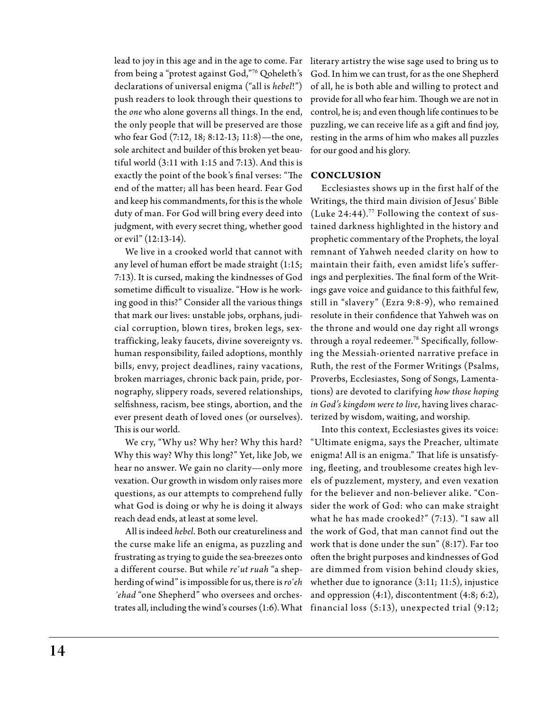lead to joy in this age and in the age to come. Far from being a "protest against God,"76 Qoheleth's declarations of universal enigma ("all is *hebel*!") push readers to look through their questions to the *one* who alone governs all things. In the end, the only people that will be preserved are those who fear God (7:12, 18; 8:12-13; 11:8)—the one, sole architect and builder of this broken yet beautiful world (3:11 with 1:15 and 7:13). And this is exactly the point of the book's final verses: "The **Conclusion** end of the matter; all has been heard. Fear God and keep his commandments, for this is the whole duty of man. For God will bring every deed into judgment, with every secret thing, whether good or evil" (12:13-14).

any level of human effort be made straight (1:15; 7:13). It is cursed, making the kindnesses of God sometime difficult to visualize. "How is he working good in this?" Consider all the various things that mark our lives: unstable jobs, orphans, judicial corruption, blown tires, broken legs, sextrafficking, leaky faucets, divine sovereignty vs. human responsibility, failed adoptions, monthly bills, envy, project deadlines, rainy vacations, broken marriages, chronic back pain, pride, pornography, slippery roads, severed relationships, selfishness, racism, bee stings, abortion, and the ever present death of loved ones (or ourselves). This is our world.

We cry, "Why us? Why her? Why this hard? Why this way? Why this long?" Yet, like Job, we hear no answer. We gain no clarity—only more vexation. Our growth in wisdom only raises more questions, as our attempts to comprehend fully what God is doing or why he is doing it always reach dead ends, at least at some level.

All is indeed *hebel*. Both our creatureliness and the curse make life an enigma, as puzzling and frustrating as trying to guide the sea-breezes onto a different course. But while *re῾ut ruah* "a shepherding of wind" is impossible for us, there is  $ro<sup>°</sup>eh$ *᾽ehad* "one Shepherd" who oversees and orchestrates all, including the wind's courses (1:6). What

literary artistry the wise sage used to bring us to God. In him we can trust, for as the one Shepherd of all, he is both able and willing to protect and provide for all who fear him. Though we are not in control, he is; and even though life continues to be puzzling, we can receive life as a gift and find joy, resting in the arms of him who makes all puzzles for our good and his glory.

We live in a crooked world that cannot with remnant of Yahweh needed clarity on how to Ecclesiastes shows up in the first half of the Writings, the third main division of Jesus' Bible (Luke 24:44).77 Following the context of sustained darkness highlighted in the history and prophetic commentary of the Prophets, the loyal maintain their faith, even amidst life's sufferings and perplexities. The final form of the Writings gave voice and guidance to this faithful few, still in "slavery" (Ezra 9:8-9), who remained resolute in their confidence that Yahweh was on the throne and would one day right all wrongs through a royal redeemer.78 Specifically, following the Messiah-oriented narrative preface in Ruth, the rest of the Former Writings (Psalms, Proverbs, Ecclesiastes, Song of Songs, Lamentations) are devoted to clarifying *how those hoping in God's kingdom were to live*, having lives characterized by wisdom, waiting, and worship*.*

> Into this context, Ecclesiastes gives its voice: "Ultimate enigma, says the Preacher, ultimate enigma! All is an enigma." That life is unsatisfying, fleeting, and troublesome creates high levels of puzzlement, mystery, and even vexation for the believer and non-believer alike. "Consider the work of God: who can make straight what he has made crooked?" (7:13). "I saw all the work of God, that man cannot find out the work that is done under the sun" (8:17). Far too often the bright purposes and kindnesses of God are dimmed from vision behind cloudy skies, whether due to ignorance (3:11; 11:5), injustice and oppression (4:1), discontentment (4:8; 6:2), financial loss (5:13), unexpected trial (9:12;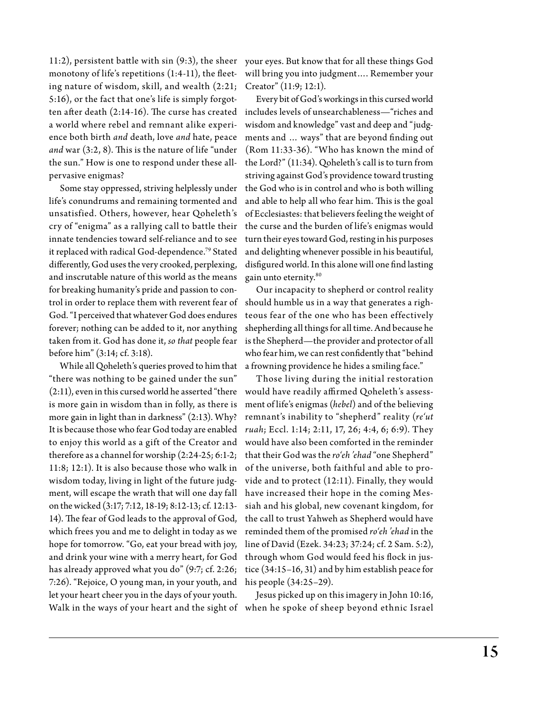11:2), persistent battle with sin (9:3), the sheer your eyes. But know that for all these things God monotony of life's repetitions (1:4-11), the fleet-will bring you into judgment…. Remember your ing nature of wisdom, skill, and wealth (2:21; 5:16), or the fact that one's life is simply forgotten after death (2:14-16). The curse has created a world where rebel and remnant alike experience both birth *and* death, love *and* hate, peace *and* war (3:2, 8). This is the nature of life "under the sun." How is one to respond under these allpervasive enigmas?

Some stay oppressed, striving helplessly under life's conundrums and remaining tormented and unsatisfied. Others, however, hear Qoheleth's cry of "enigma" as a rallying call to battle their innate tendencies toward self-reliance and to see it replaced with radical God-dependence.<sup>79</sup> Stated differently, God uses the very crooked, perplexing, and inscrutable nature of this world as the means for breaking humanity's pride and passion to control in order to replace them with reverent fear of God. "I perceived that whatever God does endures forever; nothing can be added to it, nor anything taken from it. God has done it, *so that* people fear before him" (3:14; cf. 3:18).

While all Qoheleth's queries proved to him that a frowning providence he hides a smiling face." "there was nothing to be gained under the sun" (2:11), even in this cursed world he asserted "there is more gain in wisdom than in folly, as there is more gain in light than in darkness" (2:13). Why? It is because those who fear God today are enabled to enjoy this world as a gift of the Creator and therefore as a channel for worship (2:24-25; 6:1-2; 11:8; 12:1). It is also because those who walk in wisdom today, living in light of the future judgment, will escape the wrath that will one day fall on the wicked (3:17; 7:12, 18-19; 8:12-13; cf. 12:13- 14). The fear of God leads to the approval of God, which frees you and me to delight in today as we hope for tomorrow. "Go, eat your bread with joy, and drink your wine with a merry heart, for God has already approved what you do" (9:7; cf. 2:26; 7:26). "Rejoice, O young man, in your youth, and let your heart cheer you in the days of your youth.

Creator" (11:9; 12:1).

Every bit of God's workings in this cursed world includes levels of unsearchableness—"riches and wisdom and knowledge" vast and deep and "judgments and … ways" that are beyond finding out (Rom 11:33-36). "Who has known the mind of the Lord?" (11:34). Qoheleth's call is to turn from striving against God's providence toward trusting the God who is in control and who is both willing and able to help all who fear him. This is the goal of Ecclesiastes: that believers feeling the weight of the curse and the burden of life's enigmas would turn their eyes toward God, resting in his purposes and delighting whenever possible in his beautiful, disfigured world. In this alone will one find lasting gain unto eternity.80

Our incapacity to shepherd or control reality should humble us in a way that generates a righteous fear of the one who has been effectively shepherding all things for all time. And because he is the Shepherd—the provider and protector of all who fear him, we can rest confidently that "behind

Those living during the initial restoration would have readily affirmed Qoheleth's assessment of life's enigmas (*hebel*) and of the believing remnant's inability to "shepherd" reality (*re'ut ruah*; Eccl. 1:14; 2:11, 17, 26; 4:4, 6; 6:9). They would have also been comforted in the reminder that their God was the *ro'eh 'ehad* "one Shepherd" of the universe, both faithful and able to provide and to protect (12:11). Finally, they would have increased their hope in the coming Messiah and his global, new covenant kingdom, for the call to trust Yahweh as Shepherd would have reminded them of the promised *ro'eh 'ehad* in the line of David (Ezek. 34:23; 37:24; cf. 2 Sam. 5:2), through whom God would feed his flock in justice (34:15–16, 31) and by him establish peace for his people (34:25–29).

Walk in the ways of your heart and the sight of when he spoke of sheep beyond ethnic Israel Jesus picked up on this imagery in John 10:16,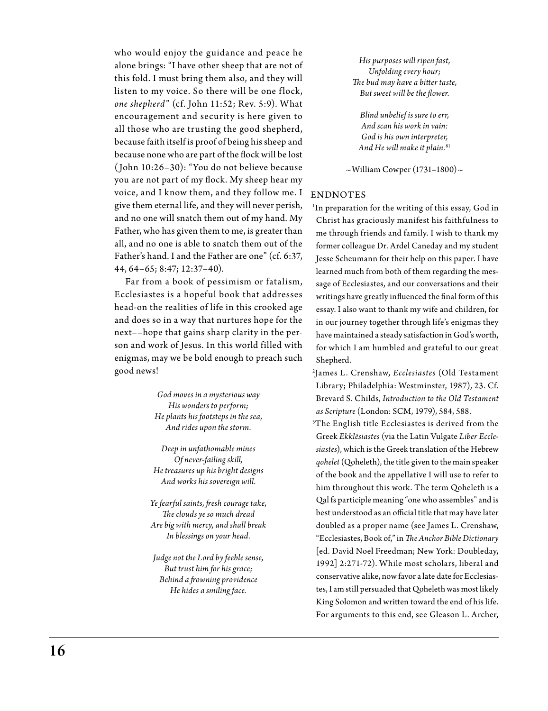who would enjoy the guidance and peace he alone brings: "I have other sheep that are not of this fold. I must bring them also, and they will listen to my voice. So there will be one flock, *one shepherd*" (cf. John 11:52; Rev. 5:9). W hat encouragement and security is here given to all those who are trusting the good shepherd, because faith itself is proof of being his sheep and because none who are part of the flock will be lost ( John 10:26–30): "You do not believe because you are not part of my flock. My sheep hear my voice, and I know them, and they follow me. I give them eternal life, and they will never perish, and no one will snatch them out of my hand. My Father, who has given them to me, is greater than all, and no one is able to snatch them out of the Father's hand. I and the Father are one" (cf. 6:37, 44, 64–65; 8:47; 12:37–40).

Far from a book of pessimism or fatalism, Ecclesiastes is a hopeful book that addresses head-on the realities of life in this crooked age and does so in a way that nurtures hope for the next––hope that gains sharp clarity in the person and work of Jesus. In this world filled with enigmas, may we be bold enough to preach such good news!

> *God moves in a mysterious way His wonders to perform; He plants his footsteps in the sea, And rides upon the storm.*

*Deep in unfathomable mines Of never-failing skill, He treasures up his bright designs And works his sovereign will.*

*Ye fearful saints, fresh courage take, The clouds ye so much dread Are big with mercy, and shall break In blessings on your head.*

*Judge not the Lord by feeble sense, But trust him for his grace; Behind a frowning providence He hides a smiling face.*

*His purposes will ripen fast, Unfolding every hour; The bud may have a bitter taste, But sweet will be the flower.*

*Blind unbelief is sure to err, And scan his work in vain: God is his own interpreter, And He will make it plain.*<sup>81</sup>

 $\sim$ William Cowper (1731–1800)  $\sim$ 

## **ENDNOTES**

1 In preparation for the writing of this essay, God in Christ has graciously manifest his faithfulness to me through friends and family. I wish to thank my former colleague Dr. Ardel Caneday and my student Jesse Scheumann for their help on this paper. I have learned much from both of them regarding the message of Ecclesiastes, and our conversations and their writings have greatly influenced the final form of this essay. I also want to thank my wife and children, for in our journey together through life's enigmas they have maintained a steady satisfaction in God's worth, for which I am humbled and grateful to our great Shepherd.

2 James L. Crenshaw, *Ecclesiastes* (Old Testament Library; Philadelphia: Westminster, 1987), 23. Cf. Brevard S. Childs, *Introduction to the Old Testament as Scripture* (London: SCM, 1979), 584, 588.

3 The English title Ecclesiastes is derived from the Greek *Ekklēsiastes* (via the Latin Vulgate *Liber Ecclesiastes*), which is the Greek translation of the Hebrew *qohelet* (Qoheleth), the title given to the main speaker of the book and the appellative I will use to refer to him throughout this work. The term Qoheleth is a Qal fs participle meaning "one who assembles" and is best understood as an official title that may have later doubled as a proper name (see James L. Crenshaw, "Ecclesiastes, Book of," in *The Anchor Bible Dictionary* [ed. David Noel Freedman; New York: Doubleday, 1992] 2:271-72). While most scholars, liberal and conservative alike, now favor a late date for Ecclesiastes, I am still persuaded that Qoheleth was most likely King Solomon and written toward the end of his life. For arguments to this end, see Gleason L. Archer,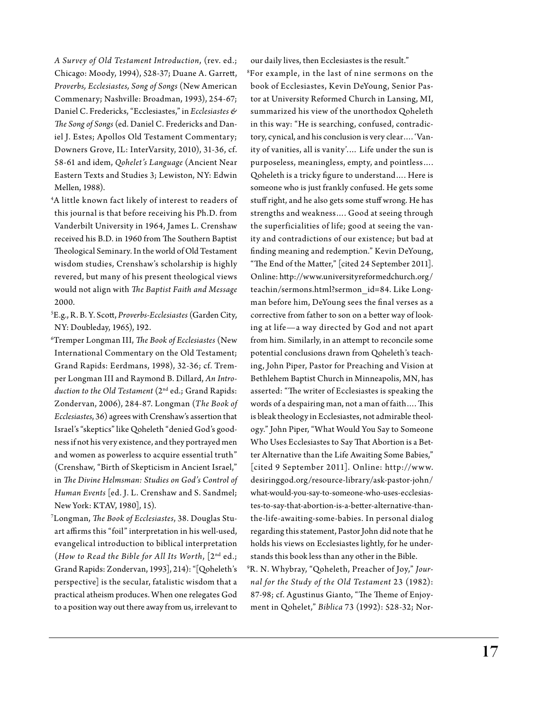*A Survey of Old Testament Introduction*, (rev. ed.; Chicago: Moody, 1994), 528-37; Duane A. Garrett, *Proverbs, Ecclesiastes, Song of Songs* (New American Commenary; Nashville: Broadman, 1993), 254-67; Daniel C. Fredericks, "Ecclesiastes," in *Ecclesiastes & The Song of Songs* (ed. Daniel C. Fredericks and Daniel J. Estes; Apollos Old Testament Commentary; Downers Grove, IL: InterVarsity, 2010), 31-36, cf. 58-61 and idem, *Qohelet's Language* (Ancient Near Eastern Texts and Studies 3; Lewiston, NY: Edwin Mellen, 1988).

4 A little known fact likely of interest to readers of this journal is that before receiving his Ph.D. from Vanderbilt University in 1964, James L. Crenshaw received his B.D. in 1960 from The Southern Baptist Theological Seminary. In the world of Old Testament wisdom studies, Crenshaw's scholarship is highly revered, but many of his present theological views would not align with *The Baptist Faith and Message* 2000.

5 E.g., R. B. Y. Scott, *Proverbs-Ecclesiastes* (Garden City, NY: Doubleday, 1965), 192.

6 Tremper Longman III, *The Book of Ecclesiastes* (New International Commentary on the Old Testament; Grand Rapids: Eerdmans, 1998), 32-36; cf. Tremper Longman III and Raymond B. Dillard, *An Introduction to the Old Testament* (2nd ed.; Grand Rapids: Zondervan, 2006), 284-87. Longman (*The Book of Ecclesiastes*, 36) agrees with Crenshaw's assertion that Israel's "skeptics" like Qoheleth "denied God's goodness if not his very existence, and they portrayed men and women as powerless to acquire essential truth" (Crenshaw, "Birth of Skepticism in Ancient Israel," in *The Divine Helmsman: Studies on God's Control of Human Events* [ed. J. L. Crenshaw and S. Sandmel; New York: KTAV, 1980], 15).

7 Longman, *The Book of Ecclesiastes*, 38. Douglas Stuart affirms this "foil" interpretation in his well-used, evangelical introduction to biblical interpretation (*How to Read the Bible for All Its Worth*, [2nd ed.; Grand Rapids: Zondervan, 1993], 214): "[Qoheleth's perspective] is the secular, fatalistic wisdom that a practical atheism produces. When one relegates God to a position way out there away from us, irrelevant to

our daily lives, then Ecclesiastes is the result."

8 For example, in the last of nine sermons on the book of Ecclesiastes, Kevin DeYoung, Senior Pastor at University Reformed Church in Lansing, MI, summarized his view of the unorthodox Qoheleth in this way: "He is searching, confused, contradictory, cynical, and his conclusion is very clear…. 'Vanity of vanities, all is vanity'.… Life under the sun is purposeless, meaningless, empty, and pointless…. Qoheleth is a tricky figure to understand…. Here is someone who is just frankly confused. He gets some stuff right, and he also gets some stuff wrong. He has strengths and weakness…. Good at seeing through the superficialities of life; good at seeing the vanity and contradictions of our existence; but bad at finding meaning and redemption." Kevin DeYoung, "The End of the Matter," [cited 24 September 2011]. Online: http://www.universityreformedchurch.org/ teachin/sermons.html?sermon\_id=84. Like Longman before him, DeYoung sees the final verses as a corrective from father to son on a better way of looking at life—a way directed by God and not apart from him. Similarly, in an attempt to reconcile some potential conclusions drawn from Qoheleth's teaching, John Piper, Pastor for Preaching and Vision at Bethlehem Baptist Church in Minneapolis, MN, has asserted: "The writer of Ecclesiastes is speaking the words of a despairing man, not a man of faith…. This is bleak theology in Ecclesiastes, not admirable theology." John Piper, "What Would You Say to Someone Who Uses Ecclesiastes to Say That Abortion is a Better Alternative than the Life Awaiting Some Babies," [cited 9 September 2011]. Online: http://w w w. desiringgod.org/resource-library/ask-pastor-john/ what-would-you-say-to-someone-who-uses-ecclesiastes-to-say-that-abortion-is-a-better-alternative-thanthe-life-awaiting-some-babies. In personal dialog regarding this statement, Pastor John did note that he holds his views on Ecclesiastes lightly, for he understands this book less than any other in the Bible.

9 R. N. W hybray, "Qoheleth, Preacher of Joy," *Journal for the Study of the Old Testament* 23 (1982): 87-98; cf. Agustinus Gianto, "The Theme of Enjoyment in Qohelet," *Biblica* 73 (1992): 528-32; Nor-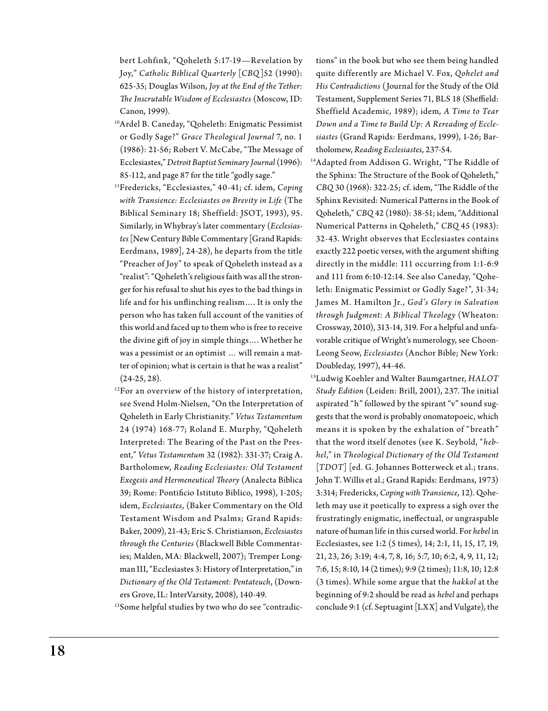bert Lohfink, "Qoheleth 5:17-19—Revelation by Joy," *Catholic Biblical Quarterly* [*CBQ*]52 (1990): 625-35; Douglas Wilson, *Joy at the End of the Tether: The Inscrutable Wisdom of Ecclesiastes* (Moscow, ID: Canon, 1999).

- 10Ardel B. Caneday, "Qoheleth: Enigmatic Pessimist or Godly Sage?" *Grace Theological Journal* 7, no. 1 (1986): 21-56; Robert V. McCabe, "The Message of Ecclesiastes," *Detroit Baptist Seminary Journal* (1996): 85-112, and page 87 for the title "godly sage."
- 11Fredericks, "Ecclesiastes," 40-41; cf. idem, *Coping with Transience: Ecclesiastes on Brevity in Life* (The Biblical Seminary 18; Sheffield: JSOT, 1993), 95. Similarly, in Whybray's later commentary (*Ecclesiastes* [New Century Bible Commentary [Grand Rapids: Eerdmans, 1989], 24-28), he departs from the title "Preacher of Joy" to speak of Qoheleth instead as a "realist": "Qoheleth's religious faith was all the stronger for his refusal to shut his eyes to the bad things in life and for his unflinching realism…. It is only the person who has taken full account of the vanities of this world and faced up to them who is free to receive the divine gift of joy in simple things…. Whether he was a pessimist or an optimist … will remain a matter of opinion; what is certain is that he was a realist" (24-25, 28).
- $12$ For an overview of the history of interpretation, see Svend Holm-Nielsen, "On the Interpretation of Qoheleth in Early Christianity." *Vetus Testamentum*  24 (1974) 168-77; Roland E. Murphy, "Qoheleth Interpreted: The Bearing of the Past on the Present," *Vetus Testamentum* 32 (1982): 331-37; Craig A. Bartholomew, *Reading Ecclesiastes: Old Testament Exegesis and Hermeneutical Theory* (Analecta Biblica 39; Rome: Pontificio Istituto Biblico, 1998), 1-205; idem, *Ecclesiastes*, (Baker Commentary on the Old Testament Wisdom and Psalms; Grand Rapids: Baker, 2009), 21-43; Eric S. Christianson, *Ecclesiastes through the Centuries* (Blackwell Bible Commentaries; Malden, MA: Blackwell, 2007); Tremper Longman III, "Ecclesiastes 3: History of Interpretation," in *Dictionary of the Old Testament: Pentateuch*, (Downers Grove, IL: InterVarsity, 2008), 140-49.

<sup>13</sup>Some helpful studies by two who do see "contradic-

tions" in the book but who see them being handled quite differently are Michael V. Fox, *Qohelet and His Contradictions* (Journal for the Study of the Old Testament, Supplement Series 71, BLS 18 (Sheffield: Sheffield Academic, 1989); idem*, A Time to Tear Down and a Time to Build Up: A Rereading of Ecclesiastes* (Grand Rapids: Eerdmans, 1999), 1-26; Bartholomew, *Reading Ecclesiastes*, 237-54.

<sup>14</sup>Adapted from Addison G. Wright, "The Riddle of the Sphinx: The Structure of the Book of Qoheleth," *CBQ* 30 (1968): 322-25; cf. idem, "The Riddle of the Sphinx Revisited: Numerical Patterns in the Book of Qoheleth," *CBQ* 42 (1980): 38-51; idem, "Additional Numerical Patterns in Qoheleth," *CBQ* 45 (1983): 32-43. Wright observes that Ecclesiastes contains exactly 222 poetic verses, with the argument shifting directly in the middle: 111 occurring from 1:1-6:9 and 111 from 6:10-12:14. See also Caneday, "Qoheleth: Enigmatic Pessimist or Godly Sage?", 31-34; James M. Hamilton Jr., *God's Glory in Salvation through Judgment: A Biblical Theology* (W heaton: Crossway, 2010), 313-14, 319. For a helpful and unfavorable critique of Wright's numerology, see Choon-Leong Seow, *Ecclesiastes* (Anchor Bible; New York: Doubleday, 1997), 44-46.

15Ludwig Koehler and Walter Baumgartner, *HALOT Study Edition* (Leiden: Brill, 2001), 237. The initial aspirated "h" followed by the spirant "v" sound suggests that the word is probably onomatopoeic, which means it is spoken by the exhalation of " breath" that the word itself denotes (see K. Seybold, "*hebhel*," in *Theological Dictionary of the Old Testament*  [*TDOT*] [ed. G. Johannes Botterweck et al.; trans. John T. Willis et al.; Grand Rapids: Eerdmans, 1973) 3:314; Fredericks, *Coping with Transience*, 12). Qoheleth may use it poetically to express a sigh over the frustratingly enigmatic, ineffectual, or ungraspable nature of human life in this cursed world. For *hebel* in Ecclesiastes, see 1:2 (5 times), 14; 2:1, 11, 15, 17, 19, 21, 23, 26; 3:19; 4:4, 7, 8, 16; 5:7, 10; 6:2, 4, 9, 11, 12; 7:6, 15; 8:10, 14 (2 times); 9:9 (2 times); 11:8, 10; 12:8 (3 times). While some argue that the *hakkol* at the beginning of 9:2 should be read as *hebel* and perhaps conclude 9:1 (cf. Septuagint [LXX] and Vulgate), the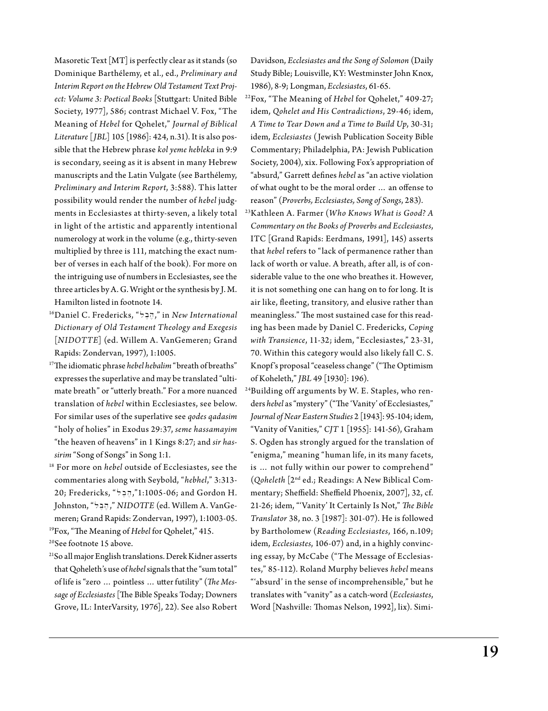Masoretic Text [MT] is perfectly clear as it stands (so Dominique Barthélemy, et al*.*, ed., *Preliminary and Interim Report on the Hebrew Old Testament Text Project: Volume 3: Poetical Books* [Stuttgart: United Bible Society, 1977], 586; contrast Michael V. Fox, "The Meaning of *Hebel* for Qohelet," *Journal of Biblical Literature* [*JBL*] 105 [1986]: 424, n.31). It is also possible that the Hebrew phrase *kol yeme hebleka* in 9:9 is secondary, seeing as it is absent in many Hebrew manuscripts and the Latin Vulgate (see Barthélemy, *Preliminary and Interim Report*, 3:588). This latter possibility would render the number of *hebel* judgments in Ecclesiastes at thirty-seven, a likely total in light of the artistic and apparently intentional numerology at work in the volume (e.g., thirty-seven multiplied by three is 111, matching the exact number of verses in each half of the book). For more on the intriguing use of numbers in Ecclesiastes, see the three articles by A. G. Wright or the synthesis by J. M. Hamilton listed in footnote 14.

- 16Daniel C. Fredericks, " l ," in *New International Dictionary of Old Testament Theology and Exegesis* [*NIDOTTE*] (ed. Willem A. VanGemeren; Grand Rapids: Zondervan, 1997), 1:1005.
- 17The idiomatic phrase *hebel hebalim* "breath of breaths" expresses the superlative and may be translated "ultimate breath" or "utterly breath." For a more nuanced translation of *hebel* within Ecclesiastes, see below. For similar uses of the superlative see *qodes qadasim* "holy of holies" in Exodus 29:37, *seme hassamayim*  "the heaven of heavens" in 1 Kings 8:27; and *sir hassirim* "Song of Songs" in Song 1:1.
- 18 For more on *hebel* outside of Ecclesiastes, see the commentaries along with Seybold, "*hebhel*," 3:313- 20; Fredericks, " l ,"1:1005-06; and Gordon H. Johnston, "l ," *NIDOTTE* (ed. Willem A. VanGemeren; Grand Rapids: Zondervan, 1997), 1:1003-05.

19Fox, "The Meaning of *Hebel* for Qohelet," 415.

20See footnote 15 above.

21So all major English translations. Derek Kidner asserts that Qoheleth's use of *hebel* signals that the "sum total" of life is "zero … pointless … utter futility" (*The Message of Ecclesiastes* [The Bible Speaks Today; Downers Grove, IL: InterVarsity, 1976], 22). See also Robert

Davidson, *Ecclesiastes and the Song of Solomon* (Daily Study Bible; Louisville, KY: Westminster John Knox, 1986), 8-9; Longman, *Ecclesiastes*, 61-65.

- 22Fox, "The Meaning of *Hebel* for Qohelet," 409-27; idem, *Qohelet and His Contradictions*, 29-46; idem, *A Time to Tear Down and a Time to Build Up*, 30-31; idem, *Ecclesiastes* (Jewish Publication Soceity Bible Commentary; Philadelphia, PA: Jewish Publication Society, 2004), xix. Following Fox's appropriation of "absurd," Garrett defines *hebel* as "an active violation of what ought to be the moral order … an offense to reason" (*Proverbs, Ecclesiastes, Song of Songs*, 283).
- 23Kathleen A. Farmer (*Who Knows What is Good? A Commentary on the Books of Proverbs and Ecclesiastes*, ITC [Grand Rapids: Eerdmans, 1991], 145) asserts that *hebel* refers to "lack of permanence rather than lack of worth or value. A breath, after all, is of considerable value to the one who breathes it. However, it is not something one can hang on to for long. It is air like, fleeting, transitory, and elusive rather than meaningless." The most sustained case for this reading has been made by Daniel C. Fredericks, *Coping with Transience*, 11-32; idem, "Ecclesiastes," 23-31, 70. Within this category would also likely fall C. S. Knopf 's proposal "ceaseless change" ("The Optimism of Koheleth," *JBL* 49 [1930]: 196).
- <sup>24</sup>Building off arguments by W. E. Staples, who renders *hebel* as "mystery" ("The 'Vanity' of Ecclesiastes," *Journal of Near Eastern Studies* 2 [1943]: 95-104; idem, "Vanity of Vanities," *CJT* 1 [1955]: 141-56), Graham S. Ogden has strongly argued for the translation of "enigma," meaning "human life, in its many facets, is … not fully within our power to comprehend" (*Qoheleth* [2nd ed.; Readings: A New Biblical Commentary; Sheffield: Sheffield Phoenix, 2007], 32, cf. 21-26; idem, "'Vanity' It Certainly Is Not," *The Bible Translator* 38, no. 3 [1987]: 301-07). He is followed by Bartholomew (*Reading Ecclesiastes*, 166, n.109; idem, *Ecclesiastes*, 106-07) and, in a highly convincing essay, by McCabe ("The Message of Ecclesiastes," 85-112). Roland Murphy believes *hebel* means "'absurd' in the sense of incomprehensible," but he translates with "vanity" as a catch-word (*Ecclesiastes*, Word [Nashville: Thomas Nelson, 1992], lix). Simi-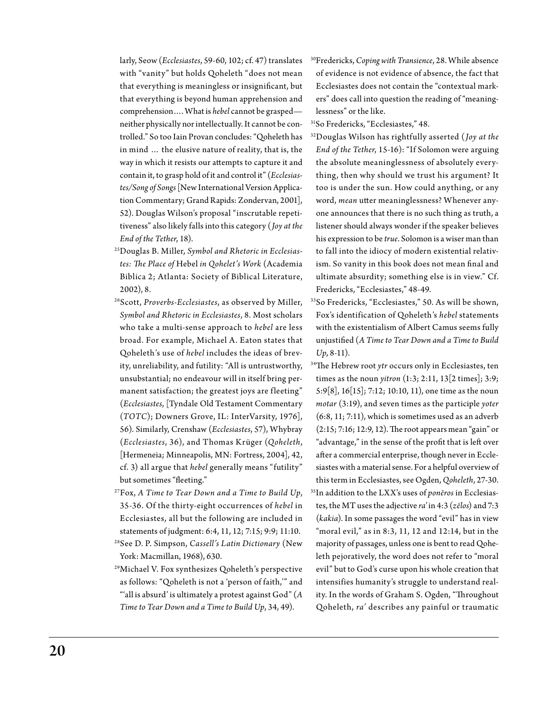larly, Seow (*Ecclesiastes*, 59-60, 102; cf. 47) translates with "vanity" but holds Qoheleth "does not mean that everything is meaningless or insignificant, but that everything is beyond human apprehension and comprehension…. What is *hebel* cannot be grasped neither physically nor intellectually. It cannot be controlled." So too Iain Provan concludes: "Qoheleth has in mind … the elusive nature of reality, that is, the way in which it resists our attempts to capture it and contain it, to grasp hold of it and control it" (*Ecclesiastes/Song of Songs* [New International Version Application Commentary; Grand Rapids: Zondervan, 2001], 52). Douglas Wilson's proposal "inscrutable repetitiveness" also likely falls into this category (*Joy at the End of the Tether*, 18).

- 25Douglas B. Miller, *Symbol and Rhetoric in Ecclesiastes: The Place of* Hebel *in Qohelet's Work* (Academia Biblica 2; Atlanta: Society of Biblical Literature, 2002), 8.
- 26Scott, *Proverbs-Ecclesiastes*, as observed by Miller, *Symbol and Rhetoric in Ecclesiastes*, 8. Most scholars who take a multi-sense approach to *hebel* are less broad. For example, Michael A. Eaton states that Qoheleth's use of *hebel* includes the ideas of brevity, unreliability, and futility: "All is untrustworthy, unsubstantial; no endeavour will in itself bring permanent satisfaction; the greatest joys are fleeting" (*Ecclesiastes*, [Tyndale Old Testament Commentary (*TOTC*); Downers Grove, IL: InterVarsity, 1976], 56). Similarly, Crenshaw (*Ecclesiastes*, 57), Whybray (*Ecclesiastes*, 36), and Thomas Krüger (*Qoheleth*, [Hermeneia; Minneapolis, MN: Fortress, 2004], 42, cf. 3) all argue that *hebel* generally means "futility" but sometimes "fleeting."
- 27Fox, *A Time to Tear Down and a Time to Build Up*, 35-36. Of the thirty-eight occurrences of *hebel* in Ecclesiastes, all but the following are included in statements of judgment: 6:4, 11, 12; 7:15; 9:9; 11:10.
- 28See D. P. Simpson, *Cassell's Latin Dictionary* (New York: Macmillan, 1968), 630.
- 29Michael V. Fox synthesizes Qoheleth's perspective as follows: "Qoheleth is not a 'person of faith,'" and "'all is absurd' is ultimately a protest against God" (*A Time to Tear Down and a Time to Build Up*, 34, 49).
- 30Fredericks, *Coping with Transience*, 28. While absence of evidence is not evidence of absence, the fact that Ecclesiastes does not contain the "contextual markers" does call into question the reading of "meaninglessness" or the like.
- 31So Fredericks, "Ecclesiastes," 48.
- 32Douglas Wilson has rightfully asserted (*Joy at the End of the Tether*, 15-16): "If Solomon were arguing the absolute meaninglessness of absolutely everything, then why should we trust his argument? It too is under the sun. How could anything, or any word, *mean* utter meaninglessness? Whenever anyone announces that there is no such thing as truth, a listener should always wonder if the speaker believes his expression to be *true*. Solomon is a wiser man than to fall into the idiocy of modern existential relativism. So vanity in this book does not mean final and ultimate absurdity; something else is in view." Cf. Fredericks, "Ecclesiastes," 48-49.
- 33So Fredericks, "Ecclesiastes," 50. As will be shown, Fox's identification of Qoheleth's *hebel* statements with the existentialism of Albert Camus seems fully unjustified (*A Time to Tear Down and a Time to Build Up*, 8-11).
- 34The Hebrew root *ytr* occurs only in Ecclesiastes, ten times as the noun *yitron* (1:3; 2:11, 13[2 times]; 3:9; 5:9[8], 16[15]; 7:12; 10:10, 11), one time as the noun *motar* (3:19), and seven times as the participle *yoter* (6:8, 11; 7:11), which is sometimes used as an adverb (2:15; 7:16; 12:9, 12). The root appears mean "gain" or "advantage," in the sense of the profit that is left over after a commercial enterprise, though never in Ecclesiastes with a material sense. For a helpful overview of this term in Ecclesiastes, see Ogden, *Qoheleth*, 27-30. 35In addition to the LXX's uses of *ponēros* in Ecclesiastes, the MT uses the adjective *ra'* in 4:3 (*zēlos*) and 7:3 (*kakia*). In some passages the word "evil" has in view "moral evil," as in  $8:3$ ,  $11$ ,  $12$  and  $12:14$ , but in the majority of passages, unless one is bent to read Qoheleth pejoratively, the word does not refer to "moral evil" but to God's curse upon his whole creation that intensifies humanity's struggle to understand reality. In the words of Graham S. Ogden, "Throughout Qoheleth, *ra'* describes any painful or traumatic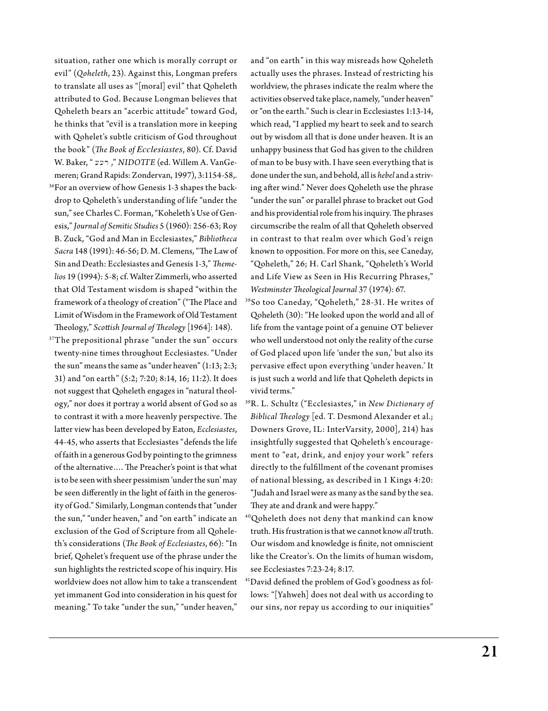situation, rather one which is morally corrupt or evil" (*Qoheleth*, 23). Against this, Longman prefers to translate all uses as "[moral] evil" that Qoheleth attributed to God. Because Longman believes that Qoheleth bears an "acerbic attitude" toward God, he thinks that "evil is a translation more in keeping with Qohelet's subtle criticism of God throughout the book" (*The Book of Ecclesiastes*, 80). Cf. David W. Baker, " רעע, MIDOTTE (ed. Willem A. VanGemeren; Grand Rapids: Zondervan, 1997), 3:1154-58,.

- 36For an overview of how Genesis 1-3 shapes the backdrop to Qoheleth's understanding of life "under the sun," see Charles C. Forman, "Koheleth's Use of Genesis," *Journal of Semitic Studies* 5 (1960): 256-63; Roy B. Zuck, "God and Man in Ecclesiastes," *Bibliotheca Sacra* 148 (1991): 46-56; D. M. Clemens, "The Law of Sin and Death: Ecclesiastes and Genesis 1-3," *Themelios* 19 (1994): 5-8; cf. Walter Zimmerli, who asserted that Old Testament wisdom is shaped "within the framework of a theology of creation" ("The Place and Limit of Wisdom in the Framework of Old Testament Theology," *Scottish Journal of Theology* [1964]: 148).
- 37The prepositional phrase "under the sun" occurs twenty-nine times throughout Ecclesiastes. "Under the sun" means the same as "under heaven" (1:13; 2:3; 31) and "on earth" (5:2; 7:20; 8:14, 16; 11:2). It does not suggest that Qoheleth engages in "natural theology," nor does it portray a world absent of God so as to contrast it with a more heavenly perspective. The latter view has been developed by Eaton, *Ecclesiastes*, 44-45, who asserts that Ecclesiastes "defends the life of faith in a generous God by pointing to the grimness of the alternative…. The Preacher's point is that what is to be seen with sheer pessimism 'under the sun' may be seen differently in the light of faith in the generosity of God." Similarly, Longman contends that "under the sun," "under heaven," and "on earth" indicate an exclusion of the God of Scripture from all Qoheleth's considerations (*The Book of Ecclesiastes*, 66): "In brief, Qohelet's frequent use of the phrase under the sun highlights the restricted scope of his inquiry. His worldview does not allow him to take a transcendent yet immanent God into consideration in his quest for meaning." To take "under the sun," "under heaven,"

and "on earth" in this way misreads how Qoheleth actually uses the phrases. Instead of restricting his worldview, the phrases indicate the realm where the activities observed take place, namely, "under heaven" or "on the earth." Such is clear in Ecclesiastes 1:13-14, which read, "I applied my heart to seek and to search out by wisdom all that is done under heaven. It is an unhappy business that God has given to the children of man to be busy with. I have seen everything that is done under the sun, and behold, all is *hebel* and a striving after wind." Never does Qoheleth use the phrase "under the sun" or parallel phrase to bracket out God and his providential role from his inquiry. The phrases circumscribe the realm of all that Qoheleth observed in contrast to that realm over which God's reign known to opposition. For more on this, see Caneday, "Qoheleth," 26; H. Carl Shank, "Qoheleth's World and Life View as Seen in His Recurring Phrases," *Westminster Theological Journal* 37 (1974): 67.

- 38So too Caneday, "Qoheleth," 28-31. He writes of Qoheleth (30): "He looked upon the world and all of life from the vantage point of a genuine OT believer who well understood not only the reality of the curse of God placed upon life 'under the sun,' but also its pervasive effect upon everything 'under heaven.' It is just such a world and life that Qoheleth depicts in vivid terms."
- 39R. L. Schultz ("Ecclesiastes," in *New Dictionary of Biblical Theology* [ed. T. Desmond Alexander et al.; Downers Grove, IL: InterVarsity, 2000], 214) has insightfully suggested that Qoheleth's encouragement to "eat, drink, and enjoy your work" refers directly to the fulfillment of the covenant promises of national blessing, as described in 1 Kings 4:20: "Judah and Israel were as many as the sand by the sea. They ate and drank and were happy."
- 40Qoheleth does not deny that mankind can know truth. His frustration is that we cannot know *all* truth. Our wisdom and knowledge is finite, not omniscient like the Creator's. On the limits of human wisdom, see Ecclesiastes 7:23-24; 8:17.
- 41David defined the problem of God's goodness as follows: "[Yahweh] does not deal with us according to our sins, nor repay us according to our iniquities"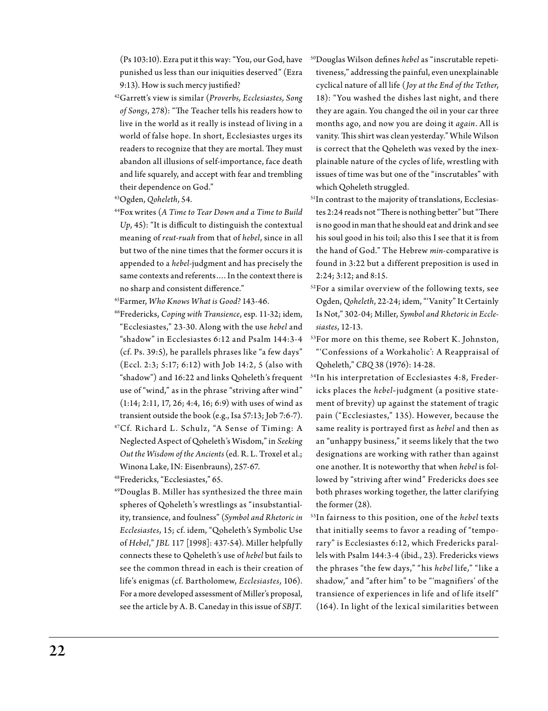(Ps 103:10). Ezra put it this way: "You, our God, have punished us less than our iniquities deserved" (Ezra 9:13). How is such mercy justified?

42Garrett's view is similar (*Proverbs, Ecclesiastes, Song of Songs*, 278): "The Teacher tells his readers how to live in the world as it really is instead of living in a world of false hope. In short, Ecclesiastes urges its readers to recognize that they are mortal. They must abandon all illusions of self-importance, face death and life squarely, and accept with fear and trembling their dependence on God."

43Ogden, *Qoheleth*, 54.

44Fox writes (*A Time to Tear Down and a Time to Build Up*, 45): "It is difficult to distinguish the contextual meaning of *reut-ruah* from that of *hebel*, since in all but two of the nine times that the former occurs it is appended to a *hebel-*judgment and has precisely the same contexts and referents…. In the context there is no sharp and consistent difference."

45Farmer, *Who Knows What is Good?* 143-46.

- 46Fredericks, *Coping with Transience*, esp. 11-32; idem, "Ecclesiastes," 23-30. Along with the use *hebel* and "shadow" in Ecclesiastes 6:12 and Psalm 144:3-4 (cf. Ps. 39:5), he parallels phrases like "a few days" (Eccl. 2:3; 5:17; 6:12) with Job 14:2, 5 (also with "shadow") and 16:22 and links Qoheleth's frequent use of "wind," as in the phrase "striving after wind" (1:14; 2:11, 17, 26; 4:4, 16; 6:9) with uses of wind as transient outside the book (e.g., Isa 57:13; Job 7:6-7).
- <sup>47</sup>Cf. Richard L. Schulz, "A Sense of Timing: A Neglected Aspect of Qoheleth's Wisdom," in *Seeking Out the Wisdom of the Ancients* (ed. R. L. Troxel et al.; Winona Lake, IN: Eisenbrauns), 257-67.

48Fredericks, "Ecclesiastes," 65.

49Douglas B. Miller has synthesized the three main spheres of Qoheleth's wrestlings as "insubstantiality, transience, and foulness" (*Symbol and Rhetoric in Ecclesiastes*, 15; cf. idem, "Qoheleth's Symbolic Use of *Hebel*," *JBL* 117 [1998]: 437-54). Miller helpfully connects these to Qoheleth's use of *hebel* but fails to see the common thread in each is their creation of life's enigmas (cf. Bartholomew, *Ecclesiastes*, 106). For a more developed assessment of Miller's proposal, see the article by A. B. Caneday in this issue of *SBJT*.

- 50Douglas Wilson defines *hebel* as "inscrutable repetitiveness," addressing the painful, even unexplainable cyclical nature of all life (*Joy at the End of the Tether*, 18): "You washed the dishes last night, and there they are again. You changed the oil in your car three months ago, and now you are doing it *again*. All is vanity. This shirt was clean yesterday." While Wilson is correct that the Qoheleth was vexed by the inexplainable nature of the cycles of life, wrestling with issues of time was but one of the "inscrutables" with which Qoheleth struggled.
- <sup>51</sup>In contrast to the majority of translations, Ecclesiastes 2:24 reads not "There is nothing better" but "There is no good in man that he should eat and drink and see his soul good in his toil; also this I see that it is from the hand of God." The Hebrew *min-*comparative is found in 3:22 but a different preposition is used in 2:24; 3:12; and 8:15.
- 52For a similar overview of the following texts, see Ogden, *Qoheleth*, 22-24; idem, "'Vanity" It Certainly Is Not," 302-04; Miller, *Symbol and Rhetoric in Ecclesiastes*, 12-13.
- 53For more on this theme, see Robert K. Johnston, "'Confessions of a Workaholic': A Reappraisal of Qoheleth," *CBQ* 38 (1976): 14-28.
- 54In his interpretation of Ecclesiastes 4:8, Fredericks places the *hebel-*judgment (a positive statement of brevity) up against the statement of tragic pain ("Ecclesiastes," 135). However, because the same reality is portrayed first as *hebel* and then as an "unhappy business," it seems likely that the two designations are working with rather than against one another. It is noteworthy that when *hebel* is followed by "striving after wind" Fredericks does see both phrases working together, the latter clarifying the former (28).
- 55In fairness to this position, one of the *hebel* texts that initially seems to favor a reading of "temporary" is Ecclesiastes 6:12, which Fredericks parallels with Psalm 144:3-4 (ibid., 23). Fredericks views the phrases "the few days," "his *hebel* life," "like a shadow," and "after him" to be "'magnifiers' of the transience of experiences in life and of life itself" (164). In light of the lexical similarities between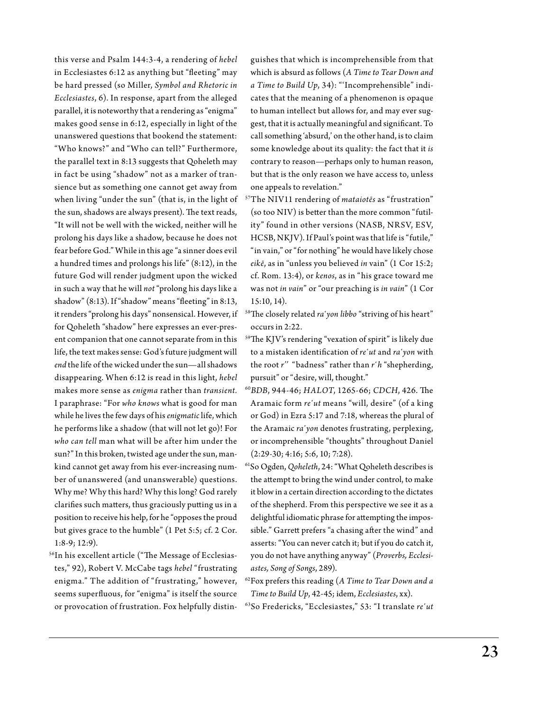this verse and Psalm 144:3-4, a rendering of *hebel* in Ecclesiastes 6:12 as anything but "fleeting" may be hard pressed (so Miller, *Symbol and Rhetoric in Ecclesiastes*, 6). In response, apart from the alleged parallel, it is noteworthy that a rendering as "enigma" makes good sense in 6:12, especially in light of the unanswered questions that bookend the statement: "Who knows?" and "Who can tell?" Furthermore, the parallel text in 8:13 suggests that Qoheleth may in fact be using "shadow" not as a marker of transience but as something one cannot get away from when living "under the sun" (that is, in the light of the sun, shadows are always present). The text reads, "It will not be well with the wicked, neither will he prolong his days like a shadow, because he does not fear before God." While in this age "a sinner does evil a hundred times and prolongs his life" (8:12), in the future God will render judgment upon the wicked in such a way that he will *not* "prolong his days like a shadow" (8:13). If "shadow" means "fleeting" in 8:13, it renders "prolong his days" nonsensical. However, if for Qoheleth "shadow" here expresses an ever-present companion that one cannot separate from in this life, the text makes sense: God's future judgment will *end* the life of the wicked under the sun—all shadows disappearing. When 6:12 is read in this light, *hebel* makes more sense as *enigma* rather than *transient.*  I paraphrase: "For *who knows* what is good for man while he lives the few days of his *enigmatic* life, which he performs like a shadow (that will not let go)! For *who can tell* man what will be after him under the sun?" In this broken, twisted age under the sun, mankind cannot get away from his ever-increasing number of unanswered (and unanswerable) questions. Why me? Why this hard? Why this long? God rarely clarifies such matters, thus graciously putting us in a position to receive his help, for he "opposes the proud but gives grace to the humble" (1 Pet 5:5; cf. 2 Cor. 1:8-9; 12:9).

56In his excellent article ("The Message of Ecclesiastes," 92), Robert V. McCabe tags *hebel* "frustrating enigma." The addition of "frustrating," however, seems superfluous, for "enigma" is itself the source or provocation of frustration. Fox helpfully distinguishes that which is incomprehensible from that which is absurd as follows (*A Time to Tear Down and a Time to Build Up*, 34): "'Incomprehensible" indicates that the meaning of a phenomenon is opaque to human intellect but allows for, and may ever suggest, that it is actually meaningful and significant. To call something 'absurd,' on the other hand, is to claim some knowledge about its quality: the fact that it *is* contrary to reason—perhaps only to human reason, but that is the only reason we have access to, unless one appeals to revelation."

- 57The NIV11 rendering of *mataiotēs* as "frustration" (so too NIV) is better than the more common "futility" found in other versions (NASB, NRSV, ESV, HCSB, NKJV). If Paul's point was that life is "futile," "in vain," or "for nothing" he would have likely chose *eikē*, as in "unless you believed *in* vain" (1 Cor 15:2; cf. Rom. 13:4), or *kenos*, as in "his grace toward me was not *in vain*" or "our preaching is *in vain*" (1 Cor 15:10, 14).
- 58The closely related *ra῾yon libbo* "striving of his heart" occurs in 2:22.
- 59The KJV's rendering "vexation of spirit" is likely due to a mistaken identification of *re῾ut* and *ra῾yon* with the root *r''* "badness" rather than *r῾h* "shepherding, pursuit" or "desire, will, thought."
- <sup>60</sup>*BDB*, 944-46; *HALOT*, 1265-66; *CDCH*, 426. The Aramaic form *re῾ut* means "will, desire" (of a king or God) in Ezra 5:17 and 7:18, whereas the plural of the Aramaic *ra῾yon* denotes frustrating, perplexing, or incomprehensible "thoughts" throughout Daniel (2:29-30; 4:16; 5:6, 10; 7:28).
- 61So Ogden, *Qoheleth*, 24: "What Qoheleth describes is the attempt to bring the wind under control, to make it blow in a certain direction according to the dictates of the shepherd. From this perspective we see it as a delightful idiomatic phrase for attempting the impossible." Garrett prefers "a chasing after the wind" and asserts: "You can never catch it; but if you do catch it, you do not have anything anyway" (*Proverbs, Ecclesiastes, Song of Songs*, 289).
- 62Fox prefers this reading (*A Time to Tear Down and a Time to Build Up*, 42-45; idem, *Ecclesiastes*, xx).
- 63So Fredericks, "Ecclesiastes," 53: "I translate *re῾ut*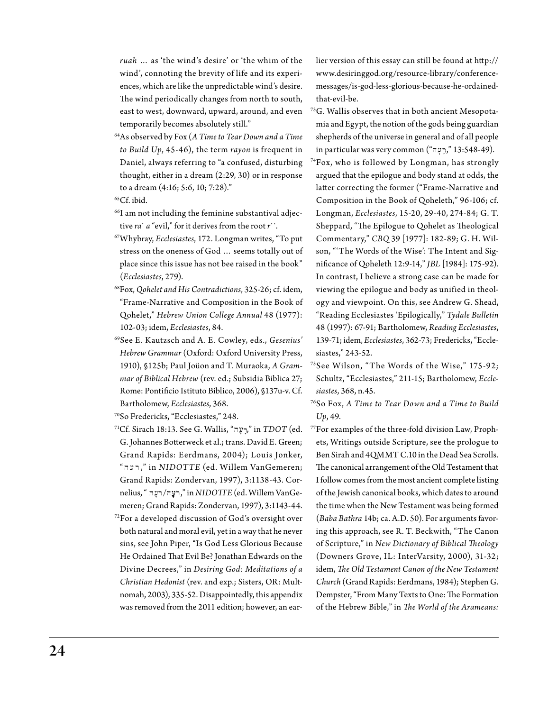*ruah* … as 'the wind's desire' or 'the whim of the wind', connoting the brevity of life and its experiences, which are like the unpredictable wind's desire. The wind periodically changes from north to south, east to west, downward, upward, around, and even temporarily becomes absolutely still."

- 64As observed by Fox (*A Time to Tear Down and a Time to Build Up*, 45-46), the term *rayon* is frequent in Daniel, always referring to "a confused, disturbing thought, either in a dream (2:29, 30) or in response to a dream (4:16; 5:6, 10; 7:28)."
- 65Cf. ibid.
- 66I am not including the feminine substantival adjective *ra*<sup> $\cdot$ </sup> *a* "evil," for it derives from the root *r*<sup> $\cdot$ </sup>.
- 67Whybray, *Ecclesiastes*, 172. Longman writes, "To put stress on the oneness of God … seems totally out of place since this issue has not bee raised in the book" (*Ecclesiastes*, 279).
- 68Fox, *Qohelet and His Contradictions*, 325-26; cf. idem, "Frame-Narrative and Composition in the Book of Qohelet," *Hebrew Union College Annual* 48 (1977): 102-03; idem, *Ecclesiastes*, 84.
- 69See E. Kautzsch and A. E. Cowley, eds., *Gesenius' Hebrew Grammar* (Oxford: Oxford University Press, 1910), §125b; Paul Joüon and T. Muraoka, *A Grammar of Biblical Hebrew* (rev. ed.; Subsidia Biblica 27; Rome: Pontificio Istituto Biblico, 2006), §137u-v. Cf. Bartholomew, *Ecclesiastes*, 368.

70So Fredericks, "Ecclesiastes," 248.

 $71$ Cf. Sirach 18:13. See G. Wallis, "רֵעָה"," in *TDOT* (ed. G. Johannes Botterweck et al.; trans. David E. Green; Grand Rapids: Eerdmans, 2004); Louis Jonker, " h[r ," in *NIDOTTE* (ed. Willem VanGemeren; Grand Rapids: Zondervan, 1997), 3:1138-43. Cornelius, " h r/h r o," in *NIDOTTE* (ed. Willem VanGemeren; Grand Rapids: Zondervan, 1997), 3:1143-44.  $72$ For a developed discussion of God's oversight over both natural and moral evil, yet in a way that he never sins, see John Piper, "Is God Less Glorious Because He Ordained That Evil Be? Jonathan Edwards on the Divine Decrees," in *Desiring God: Meditations of a Christian Hedonist* (rev. and exp.; Sisters, OR: Multnomah, 2003), 335-52. Disappointedly, this appendix was removed from the 2011 edition; however, an earlier version of this essay can still be found at http:// www.desiringgod.org/resource-library/conferencemessages/is-god-less-glorious-because-he-ordainedthat-evil-be.

- 73G. Wallis observes that in both ancient Mesopotamia and Egypt, the notion of the gods being guardian shepherds of the universe in general and of all people  $i$ ון 13:548-49). "לְיָעָה" (13:548-49).
- 74Fox, who is followed by Longman, has strongly argued that the epilogue and body stand at odds, the latter correcting the former ("Frame-Narrative and Composition in the Book of Qoheleth," 96-106; cf. Longman, *Ecclesiastes*, 15-20, 29-40, 274-84; G. T. Sheppard, "The Epilogue to Qohelet as Theological Commentary," *CBQ* 39 [1977]: 182-89; G. H. Wilson, "'The Words of the Wise': The Intent and Significance of Qoheleth 12:9-14," *JBL* [1984]: 175-92). In contrast, I believe a strong case can be made for viewing the epilogue and body as unified in theology and viewpoint. On this, see Andrew G. Shead, "Reading Ecclesiastes 'Epilogically," *Tydale Bulletin* 48 (1997): 67-91; Bartholomew, *Reading Ecclesiastes*, 139-71; idem, *Ecclesiastes*, 362-73; Fredericks, "Ecclesiastes," 243-52.
- 75See Wilson, "The Words of the Wise," 175-92; Schultz, "Ecclesiastes," 211-15; Bartholomew, *Ecclesiastes*, 368, n.45.
- 76So Fox, *A Time to Tear Down and a Time to Build Up*, 49.
- 77For examples of the three-fold division Law, Prophets, Writings outside Scripture, see the prologue to Ben Sirah and 4QMMT C.10 in the Dead Sea Scrolls. The canonical arrangement of the Old Testament that I follow comes from the most ancient complete listing of the Jewish canonical books, which dates to around the time when the New Testament was being formed (*Baba Bathra* 14b; ca. A.D. 50). For arguments favoring this approach, see R. T. Beckwith, "The Canon of Scripture," in *New Dictionary of Biblical Theology* (Downers Grove, IL: InterVarsity, 2000), 31-32; idem, *The Old Testament Canon of the New Testament Church* (Grand Rapids: Eerdmans, 1984); Stephen G. Dempster, "From Many Texts to One: The Formation of the Hebrew Bible," in *The World of the Arameans:*